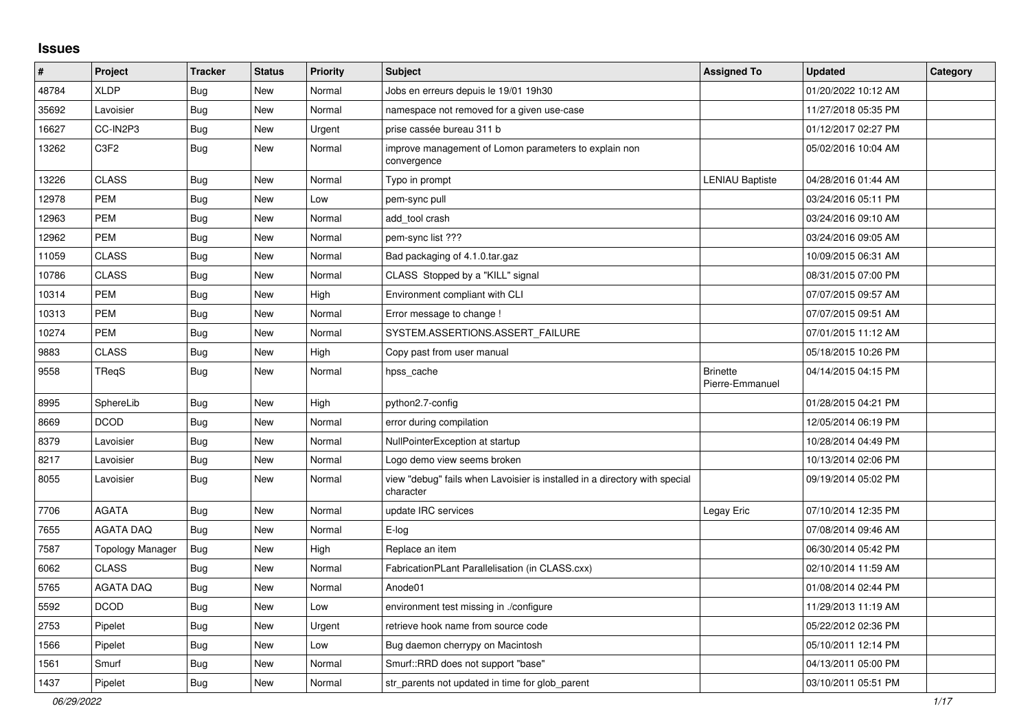## **Issues**

| #     | Project          | <b>Tracker</b> | <b>Status</b> | <b>Priority</b> | <b>Subject</b>                                                                          | <b>Assigned To</b>                 | <b>Updated</b>      | Category |
|-------|------------------|----------------|---------------|-----------------|-----------------------------------------------------------------------------------------|------------------------------------|---------------------|----------|
| 48784 | <b>XLDP</b>      | <b>Bug</b>     | New           | Normal          | Jobs en erreurs depuis le 19/01 19h30                                                   |                                    | 01/20/2022 10:12 AM |          |
| 35692 | Lavoisier        | Bug            | New           | Normal          | namespace not removed for a given use-case                                              |                                    | 11/27/2018 05:35 PM |          |
| 16627 | CC-IN2P3         | <b>Bug</b>     | New           | Urgent          | prise cassée bureau 311 b                                                               |                                    | 01/12/2017 02:27 PM |          |
| 13262 | C3F2             | Bug            | New           | Normal          | improve management of Lomon parameters to explain non<br>convergence                    |                                    | 05/02/2016 10:04 AM |          |
| 13226 | <b>CLASS</b>     | <b>Bug</b>     | <b>New</b>    | Normal          | Typo in prompt                                                                          | <b>LENIAU Baptiste</b>             | 04/28/2016 01:44 AM |          |
| 12978 | PEM              | Bug            | New           | Low             | pem-sync pull                                                                           |                                    | 03/24/2016 05:11 PM |          |
| 12963 | <b>PEM</b>       | Bug            | New           | Normal          | add tool crash                                                                          |                                    | 03/24/2016 09:10 AM |          |
| 12962 | PEM              | <b>Bug</b>     | New           | Normal          | pem-sync list ???                                                                       |                                    | 03/24/2016 09:05 AM |          |
| 11059 | <b>CLASS</b>     | <b>Bug</b>     | New           | Normal          | Bad packaging of 4.1.0.tar.gaz                                                          |                                    | 10/09/2015 06:31 AM |          |
| 10786 | <b>CLASS</b>     | <b>Bug</b>     | New           | Normal          | CLASS Stopped by a "KILL" signal                                                        |                                    | 08/31/2015 07:00 PM |          |
| 10314 | <b>PEM</b>       | Bug            | New           | High            | Environment compliant with CLI                                                          |                                    | 07/07/2015 09:57 AM |          |
| 10313 | PEM              | Bug            | New           | Normal          | Error message to change !                                                               |                                    | 07/07/2015 09:51 AM |          |
| 10274 | PEM              | <b>Bug</b>     | New           | Normal          | SYSTEM.ASSERTIONS.ASSERT FAILURE                                                        |                                    | 07/01/2015 11:12 AM |          |
| 9883  | <b>CLASS</b>     | <b>Bug</b>     | New           | High            | Copy past from user manual                                                              |                                    | 05/18/2015 10:26 PM |          |
| 9558  | TRegS            | <b>Bug</b>     | New           | Normal          | hpss_cache                                                                              | <b>Brinette</b><br>Pierre-Emmanuel | 04/14/2015 04:15 PM |          |
| 8995  | SphereLib        | <b>Bug</b>     | New           | High            | python2.7-config                                                                        |                                    | 01/28/2015 04:21 PM |          |
| 8669  | <b>DCOD</b>      | <b>Bug</b>     | New           | Normal          | error during compilation                                                                |                                    | 12/05/2014 06:19 PM |          |
| 8379  | Lavoisier        | <b>Bug</b>     | New           | Normal          | NullPointerException at startup                                                         |                                    | 10/28/2014 04:49 PM |          |
| 8217  | Lavoisier        | <b>Bug</b>     | New           | Normal          | Logo demo view seems broken                                                             |                                    | 10/13/2014 02:06 PM |          |
| 8055  | Lavoisier        | <b>Bug</b>     | New           | Normal          | view "debug" fails when Lavoisier is installed in a directory with special<br>character |                                    | 09/19/2014 05:02 PM |          |
| 7706  | <b>AGATA</b>     | <b>Bug</b>     | New           | Normal          | update IRC services                                                                     | Legay Eric                         | 07/10/2014 12:35 PM |          |
| 7655  | <b>AGATA DAQ</b> | Bug            | New           | Normal          | $E$ -log                                                                                |                                    | 07/08/2014 09:46 AM |          |
| 7587  | Topology Manager | <b>Bug</b>     | New           | High            | Replace an item                                                                         |                                    | 06/30/2014 05:42 PM |          |
| 6062  | <b>CLASS</b>     | <b>Bug</b>     | New           | Normal          | FabricationPLant Parallelisation (in CLASS.cxx)                                         |                                    | 02/10/2014 11:59 AM |          |
| 5765  | <b>AGATA DAQ</b> | <b>Bug</b>     | New           | Normal          | Anode01                                                                                 |                                    | 01/08/2014 02:44 PM |          |
| 5592  | <b>DCOD</b>      | <b>Bug</b>     | New           | Low             | environment test missing in ./configure                                                 |                                    | 11/29/2013 11:19 AM |          |
| 2753  | Pipelet          | <b>Bug</b>     | <b>New</b>    | Urgent          | retrieve hook name from source code                                                     |                                    | 05/22/2012 02:36 PM |          |
| 1566  | Pipelet          | Bug            | New           | Low             | Bug daemon cherrypy on Macintosh                                                        |                                    | 05/10/2011 12:14 PM |          |
| 1561  | Smurf            | <b>Bug</b>     | New           | Normal          | Smurf::RRD does not support "base"                                                      |                                    | 04/13/2011 05:00 PM |          |
| 1437  | Pipelet          | <b>Bug</b>     | New           | Normal          | str_parents not updated in time for glob_parent                                         |                                    | 03/10/2011 05:51 PM |          |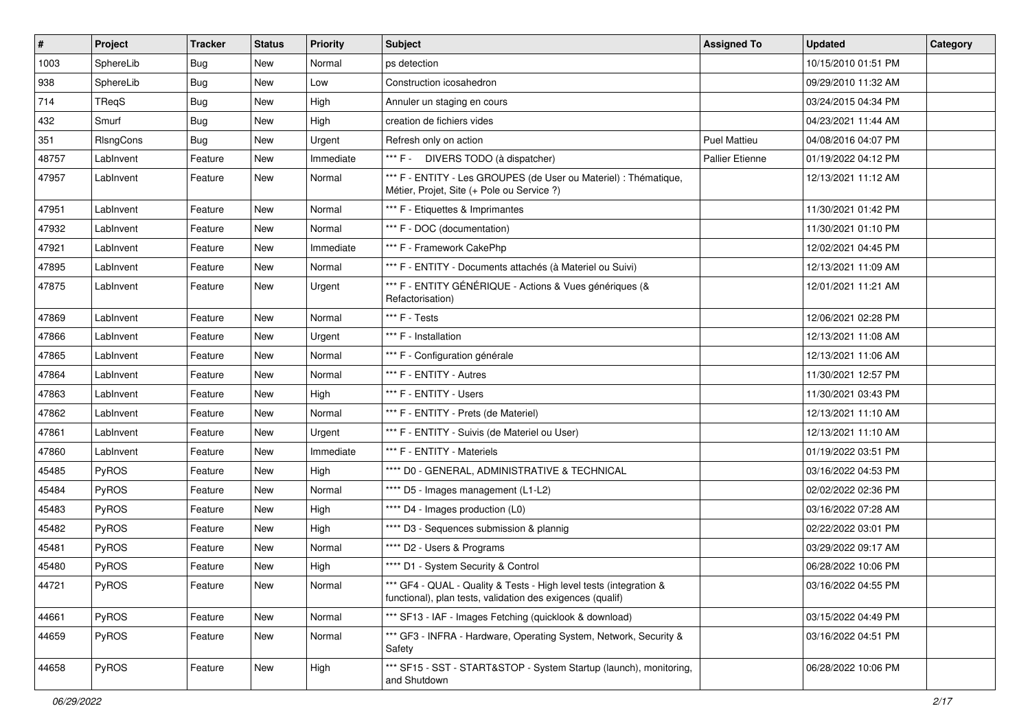| $\vert$ # | <b>Project</b> | <b>Tracker</b> | <b>Status</b> | <b>Priority</b> | <b>Subject</b>                                                                                                                   | <b>Assigned To</b>  | <b>Updated</b>      | Category |
|-----------|----------------|----------------|---------------|-----------------|----------------------------------------------------------------------------------------------------------------------------------|---------------------|---------------------|----------|
| 1003      | SphereLib      | <b>Bug</b>     | New           | Normal          | ps detection                                                                                                                     |                     | 10/15/2010 01:51 PM |          |
| 938       | SphereLib      | Bug            | New           | Low             | Construction icosahedron                                                                                                         |                     | 09/29/2010 11:32 AM |          |
| 714       | TReqS          | <b>Bug</b>     | New           | High            | Annuler un staging en cours                                                                                                      |                     | 03/24/2015 04:34 PM |          |
| 432       | Smurf          | <b>Bug</b>     | New           | High            | creation de fichiers vides                                                                                                       |                     | 04/23/2021 11:44 AM |          |
| 351       | RIsngCons      | <b>Bug</b>     | New           | Urgent          | Refresh only on action                                                                                                           | <b>Puel Mattieu</b> | 04/08/2016 04:07 PM |          |
| 48757     | LabInvent      | Feature        | New           | Immediate       | *** F - DIVERS TODO (à dispatcher)                                                                                               | Pallier Etienne     | 01/19/2022 04:12 PM |          |
| 47957     | LabInvent      | Feature        | New           | Normal          | *** F - ENTITY - Les GROUPES (de User ou Materiel) : Thématique,<br>Métier, Projet, Site (+ Pole ou Service ?)                   |                     | 12/13/2021 11:12 AM |          |
| 47951     | LabInvent      | Feature        | New           | Normal          | *** F - Etiquettes & Imprimantes                                                                                                 |                     | 11/30/2021 01:42 PM |          |
| 47932     | LabInvent      | Feature        | New           | Normal          | *** F - DOC (documentation)                                                                                                      |                     | 11/30/2021 01:10 PM |          |
| 47921     | LabInvent      | Feature        | New           | Immediate       | *** F - Framework CakePhp                                                                                                        |                     | 12/02/2021 04:45 PM |          |
| 47895     | LabInvent      | Feature        | New           | Normal          | *** F - ENTITY - Documents attachés (à Materiel ou Suivi)                                                                        |                     | 12/13/2021 11:09 AM |          |
| 47875     | LabInvent      | Feature        | New           | Urgent          | *** F - ENTITY GÉNÉRIQUE - Actions & Vues génériques (&<br>Refactorisation)                                                      |                     | 12/01/2021 11:21 AM |          |
| 47869     | LabInvent      | Feature        | <b>New</b>    | Normal          | *** F - Tests                                                                                                                    |                     | 12/06/2021 02:28 PM |          |
| 47866     | LabInvent      | Feature        | New           | Urgent          | *** F - Installation                                                                                                             |                     | 12/13/2021 11:08 AM |          |
| 47865     | LabInvent      | Feature        | New           | Normal          | *** F - Configuration générale                                                                                                   |                     | 12/13/2021 11:06 AM |          |
| 47864     | LabInvent      | Feature        | New           | Normal          | *** F - ENTITY - Autres                                                                                                          |                     | 11/30/2021 12:57 PM |          |
| 47863     | LabInvent      | Feature        | New           | High            | *** F - ENTITY - Users                                                                                                           |                     | 11/30/2021 03:43 PM |          |
| 47862     | LabInvent      | Feature        | New           | Normal          | *** F - ENTITY - Prets (de Materiel)                                                                                             |                     | 12/13/2021 11:10 AM |          |
| 47861     | LabInvent      | Feature        | New           | Urgent          | *** F - ENTITY - Suivis (de Materiel ou User)                                                                                    |                     | 12/13/2021 11:10 AM |          |
| 47860     | LabInvent      | Feature        | New           | Immediate       | *** F - ENTITY - Materiels                                                                                                       |                     | 01/19/2022 03:51 PM |          |
| 45485     | PyROS          | Feature        | New           | High            | **** D0 - GENERAL, ADMINISTRATIVE & TECHNICAL                                                                                    |                     | 03/16/2022 04:53 PM |          |
| 45484     | <b>PyROS</b>   | Feature        | New           | Normal          | **** D5 - Images management (L1-L2)                                                                                              |                     | 02/02/2022 02:36 PM |          |
| 45483     | PyROS          | Feature        | New           | High            | **** D4 - Images production (L0)                                                                                                 |                     | 03/16/2022 07:28 AM |          |
| 45482     | PyROS          | Feature        | New           | High            | **** D3 - Sequences submission & plannig                                                                                         |                     | 02/22/2022 03:01 PM |          |
| 45481     | PyROS          | Feature        | New           | Normal          | **** D2 - Users & Programs                                                                                                       |                     | 03/29/2022 09:17 AM |          |
| 45480     | PyROS          | Feature        | New           | High            | **** D1 - System Security & Control                                                                                              |                     | 06/28/2022 10:06 PM |          |
| 44721     | PyROS          | Feature        | New           | Normal          | *** GF4 - QUAL - Quality & Tests - High level tests (integration &<br>functional), plan tests, validation des exigences (qualif) |                     | 03/16/2022 04:55 PM |          |
| 44661     | PyROS          | Feature        | New           | Normal          | *** SF13 - IAF - Images Fetching (quicklook & download)                                                                          |                     | 03/15/2022 04:49 PM |          |
| 44659     | PyROS          | Feature        | New           | Normal          | *** GF3 - INFRA - Hardware, Operating System, Network, Security &<br>Safety                                                      |                     | 03/16/2022 04:51 PM |          |
| 44658     | PyROS          | Feature        | New           | High            | *** SF15 - SST - START&STOP - System Startup (launch), monitoring,<br>and Shutdown                                               |                     | 06/28/2022 10:06 PM |          |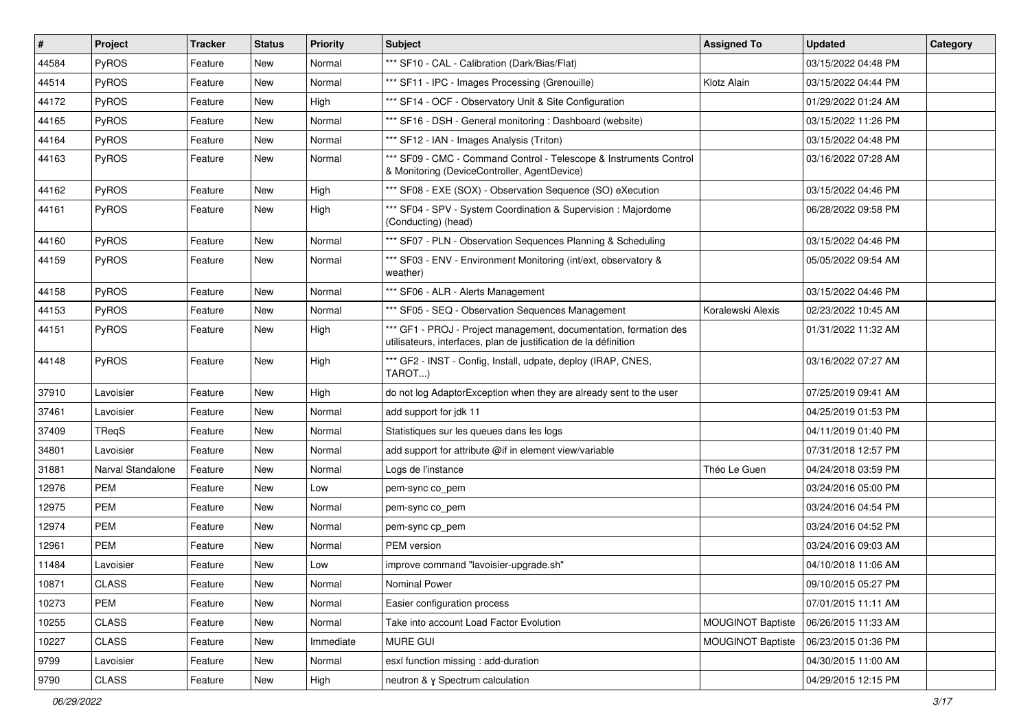| $\vert$ # | Project           | <b>Tracker</b> | <b>Status</b> | <b>Priority</b> | Subject                                                                                                                               | <b>Assigned To</b>       | <b>Updated</b>      | Category |
|-----------|-------------------|----------------|---------------|-----------------|---------------------------------------------------------------------------------------------------------------------------------------|--------------------------|---------------------|----------|
| 44584     | PyROS             | Feature        | New           | Normal          | *** SF10 - CAL - Calibration (Dark/Bias/Flat)                                                                                         |                          | 03/15/2022 04:48 PM |          |
| 44514     | PyROS             | Feature        | New           | Normal          | *** SF11 - IPC - Images Processing (Grenouille)                                                                                       | Klotz Alain              | 03/15/2022 04:44 PM |          |
| 44172     | <b>PyROS</b>      | Feature        | New           | High            | *** SF14 - OCF - Observatory Unit & Site Configuration                                                                                |                          | 01/29/2022 01:24 AM |          |
| 44165     | PyROS             | Feature        | New           | Normal          | *** SF16 - DSH - General monitoring : Dashboard (website)                                                                             |                          | 03/15/2022 11:26 PM |          |
| 44164     | PyROS             | Feature        | New           | Normal          | *** SF12 - IAN - Images Analysis (Triton)                                                                                             |                          | 03/15/2022 04:48 PM |          |
| 44163     | PyROS             | Feature        | New           | Normal          | *** SF09 - CMC - Command Control - Telescope & Instruments Control<br>& Monitoring (DeviceController, AgentDevice)                    |                          | 03/16/2022 07:28 AM |          |
| 44162     | PyROS             | Feature        | New           | High            | *** SF08 - EXE (SOX) - Observation Sequence (SO) eXecution                                                                            |                          | 03/15/2022 04:46 PM |          |
| 44161     | <b>PyROS</b>      | Feature        | New           | High            | *** SF04 - SPV - System Coordination & Supervision : Majordome<br>(Conducting) (head)                                                 |                          | 06/28/2022 09:58 PM |          |
| 44160     | PyROS             | Feature        | New           | Normal          | *** SF07 - PLN - Observation Sequences Planning & Scheduling                                                                          |                          | 03/15/2022 04:46 PM |          |
| 44159     | <b>PyROS</b>      | Feature        | New           | Normal          | *** SF03 - ENV - Environment Monitoring (int/ext, observatory &<br>weather)                                                           |                          | 05/05/2022 09:54 AM |          |
| 44158     | PyROS             | Feature        | New           | Normal          | *** SF06 - ALR - Alerts Management                                                                                                    |                          | 03/15/2022 04:46 PM |          |
| 44153     | PyROS             | Feature        | New           | Normal          | *** SF05 - SEQ - Observation Sequences Management                                                                                     | Koralewski Alexis        | 02/23/2022 10:45 AM |          |
| 44151     | <b>PyROS</b>      | Feature        | New           | High            | *** GF1 - PROJ - Project management, documentation, formation des<br>utilisateurs, interfaces, plan de justification de la définition |                          | 01/31/2022 11:32 AM |          |
| 44148     | PyROS             | Feature        | New           | High            | *** GF2 - INST - Config, Install, udpate, deploy (IRAP, CNES,<br>TAROT)                                                               |                          | 03/16/2022 07:27 AM |          |
| 37910     | Lavoisier         | Feature        | New           | High            | do not log AdaptorException when they are already sent to the user                                                                    |                          | 07/25/2019 09:41 AM |          |
| 37461     | Lavoisier         | Feature        | New           | Normal          | add support for jdk 11                                                                                                                |                          | 04/25/2019 01:53 PM |          |
| 37409     | TReqS             | Feature        | New           | Normal          | Statistiques sur les queues dans les logs                                                                                             |                          | 04/11/2019 01:40 PM |          |
| 34801     | Lavoisier         | Feature        | New           | Normal          | add support for attribute @if in element view/variable                                                                                |                          | 07/31/2018 12:57 PM |          |
| 31881     | Narval Standalone | Feature        | New           | Normal          | Logs de l'instance                                                                                                                    | Théo Le Guen             | 04/24/2018 03:59 PM |          |
| 12976     | <b>PEM</b>        | Feature        | New           | Low             | pem-sync co_pem                                                                                                                       |                          | 03/24/2016 05:00 PM |          |
| 12975     | <b>PEM</b>        | Feature        | New           | Normal          | pem-sync co_pem                                                                                                                       |                          | 03/24/2016 04:54 PM |          |
| 12974     | PEM               | Feature        | New           | Normal          | pem-sync cp_pem                                                                                                                       |                          | 03/24/2016 04:52 PM |          |
| 12961     | <b>PEM</b>        | Feature        | New           | Normal          | PEM version                                                                                                                           |                          | 03/24/2016 09:03 AM |          |
| 11484     | Lavoisier         | Feature        | New           | Low             | improve command "lavoisier-upgrade.sh"                                                                                                |                          | 04/10/2018 11:06 AM |          |
| 10871     | <b>CLASS</b>      | Feature        | New           | Normal          | Nominal Power                                                                                                                         |                          | 09/10/2015 05:27 PM |          |
| 10273     | PEM               | Feature        | New           | Normal          | Easier configuration process                                                                                                          |                          | 07/01/2015 11:11 AM |          |
| 10255     | <b>CLASS</b>      | Feature        | New           | Normal          | Take into account Load Factor Evolution                                                                                               | <b>MOUGINOT Baptiste</b> | 06/26/2015 11:33 AM |          |
| 10227     | <b>CLASS</b>      | Feature        | New           | Immediate       | MURE GUI                                                                                                                              | <b>MOUGINOT Baptiste</b> | 06/23/2015 01:36 PM |          |
| 9799      | Lavoisier         | Feature        | New           | Normal          | esxl function missing : add-duration                                                                                                  |                          | 04/30/2015 11:00 AM |          |
| 9790      | CLASS             | Feature        | New           | High            | neutron & y Spectrum calculation                                                                                                      |                          | 04/29/2015 12:15 PM |          |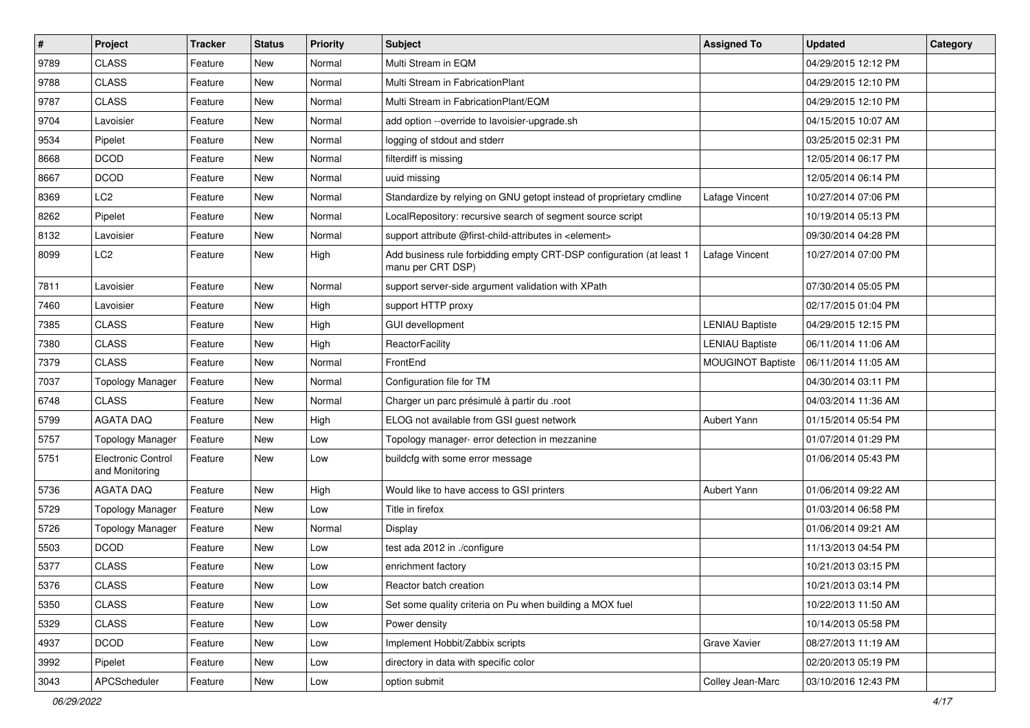| $\sharp$ | Project                              | <b>Tracker</b> | <b>Status</b> | <b>Priority</b> | Subject                                                                                   | <b>Assigned To</b>       | <b>Updated</b>      | Category |
|----------|--------------------------------------|----------------|---------------|-----------------|-------------------------------------------------------------------------------------------|--------------------------|---------------------|----------|
| 9789     | <b>CLASS</b>                         | Feature        | New           | Normal          | Multi Stream in EQM                                                                       |                          | 04/29/2015 12:12 PM |          |
| 9788     | <b>CLASS</b>                         | Feature        | New           | Normal          | Multi Stream in FabricationPlant                                                          |                          | 04/29/2015 12:10 PM |          |
| 9787     | <b>CLASS</b>                         | Feature        | New           | Normal          | Multi Stream in FabricationPlant/EQM                                                      |                          | 04/29/2015 12:10 PM |          |
| 9704     | Lavoisier                            | Feature        | New           | Normal          | add option --override to lavoisier-upgrade.sh                                             |                          | 04/15/2015 10:07 AM |          |
| 9534     | Pipelet                              | Feature        | New           | Normal          | logging of stdout and stderr                                                              |                          | 03/25/2015 02:31 PM |          |
| 8668     | <b>DCOD</b>                          | Feature        | New           | Normal          | filterdiff is missing                                                                     |                          | 12/05/2014 06:17 PM |          |
| 8667     | <b>DCOD</b>                          | Feature        | <b>New</b>    | Normal          | uuid missing                                                                              |                          | 12/05/2014 06:14 PM |          |
| 8369     | LC <sub>2</sub>                      | Feature        | New           | Normal          | Standardize by relying on GNU getopt instead of proprietary cmdline                       | Lafage Vincent           | 10/27/2014 07:06 PM |          |
| 8262     | Pipelet                              | Feature        | New           | Normal          | LocalRepository: recursive search of segment source script                                |                          | 10/19/2014 05:13 PM |          |
| 8132     | Lavoisier                            | Feature        | New           | Normal          | support attribute @first-child-attributes in <element></element>                          |                          | 09/30/2014 04:28 PM |          |
| 8099     | LC2                                  | Feature        | New           | High            | Add business rule forbidding empty CRT-DSP configuration (at least 1<br>manu per CRT DSP) | Lafage Vincent           | 10/27/2014 07:00 PM |          |
| 7811     | Lavoisier                            | Feature        | New           | Normal          | support server-side argument validation with XPath                                        |                          | 07/30/2014 05:05 PM |          |
| 7460     | Lavoisier                            | Feature        | New           | High            | support HTTP proxy                                                                        |                          | 02/17/2015 01:04 PM |          |
| 7385     | <b>CLASS</b>                         | Feature        | New           | High            | <b>GUI devellopment</b>                                                                   | <b>LENIAU Baptiste</b>   | 04/29/2015 12:15 PM |          |
| 7380     | <b>CLASS</b>                         | Feature        | New           | High            | ReactorFacility                                                                           | <b>LENIAU Baptiste</b>   | 06/11/2014 11:06 AM |          |
| 7379     | <b>CLASS</b>                         | Feature        | New           | Normal          | FrontEnd                                                                                  | <b>MOUGINOT Baptiste</b> | 06/11/2014 11:05 AM |          |
| 7037     | <b>Topology Manager</b>              | Feature        | New           | Normal          | Configuration file for TM                                                                 |                          | 04/30/2014 03:11 PM |          |
| 6748     | <b>CLASS</b>                         | Feature        | New           | Normal          | Charger un parc présimulé à partir du .root                                               |                          | 04/03/2014 11:36 AM |          |
| 5799     | <b>AGATA DAQ</b>                     | Feature        | <b>New</b>    | High            | ELOG not available from GSI guest network                                                 | Aubert Yann              | 01/15/2014 05:54 PM |          |
| 5757     | <b>Topology Manager</b>              | Feature        | New           | Low             | Topology manager- error detection in mezzanine                                            |                          | 01/07/2014 01:29 PM |          |
| 5751     | Electronic Control<br>and Monitoring | Feature        | New           | Low             | buildcfg with some error message                                                          |                          | 01/06/2014 05:43 PM |          |
| 5736     | <b>AGATA DAQ</b>                     | Feature        | New           | High            | Would like to have access to GSI printers                                                 | Aubert Yann              | 01/06/2014 09:22 AM |          |
| 5729     | <b>Topology Manager</b>              | Feature        | New           | Low             | Title in firefox                                                                          |                          | 01/03/2014 06:58 PM |          |
| 5726     | <b>Topology Manager</b>              | Feature        | New           | Normal          | Display                                                                                   |                          | 01/06/2014 09:21 AM |          |
| 5503     | <b>DCOD</b>                          | Feature        | New           | Low             | test ada 2012 in ./configure                                                              |                          | 11/13/2013 04:54 PM |          |
| 5377     | <b>CLASS</b>                         | Feature        | <b>New</b>    | Low             | enrichment factory                                                                        |                          | 10/21/2013 03:15 PM |          |
| 5376     | <b>CLASS</b>                         | Feature        | New           | Low             | Reactor batch creation                                                                    |                          | 10/21/2013 03:14 PM |          |
| 5350     | <b>CLASS</b>                         | Feature        | New           | Low             | Set some quality criteria on Pu when building a MOX fuel                                  |                          | 10/22/2013 11:50 AM |          |
| 5329     | <b>CLASS</b>                         | Feature        | New           | Low             | Power density                                                                             |                          | 10/14/2013 05:58 PM |          |
| 4937     | <b>DCOD</b>                          | Feature        | New           | Low             | Implement Hobbit/Zabbix scripts                                                           | Grave Xavier             | 08/27/2013 11:19 AM |          |
| 3992     | Pipelet                              | Feature        | New           | Low             | directory in data with specific color                                                     |                          | 02/20/2013 05:19 PM |          |
| 3043     | APCScheduler                         | Feature        | New           | Low             | option submit                                                                             | Colley Jean-Marc         | 03/10/2016 12:43 PM |          |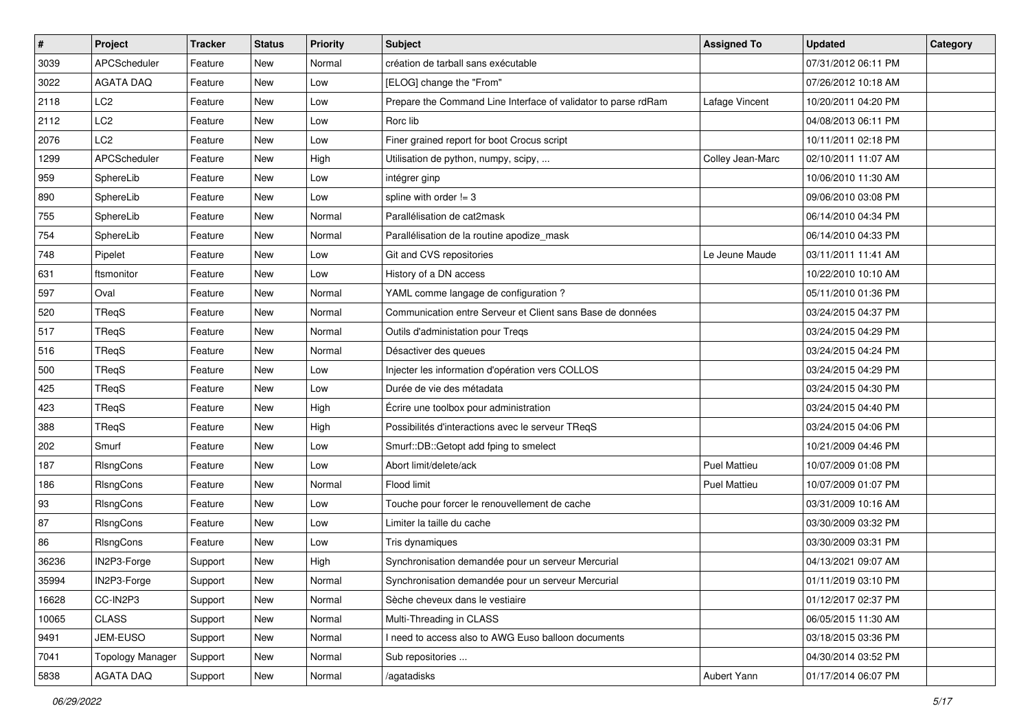| $\pmb{\#}$ | Project                 | <b>Tracker</b> | <b>Status</b> | <b>Priority</b> | Subject                                                        | <b>Assigned To</b>  | <b>Updated</b>      | Category |
|------------|-------------------------|----------------|---------------|-----------------|----------------------------------------------------------------|---------------------|---------------------|----------|
| 3039       | APCScheduler            | Feature        | New           | Normal          | création de tarball sans exécutable                            |                     | 07/31/2012 06:11 PM |          |
| 3022       | <b>AGATA DAQ</b>        | Feature        | New           | Low             | [ELOG] change the "From"                                       |                     | 07/26/2012 10:18 AM |          |
| 2118       | LC <sub>2</sub>         | Feature        | <b>New</b>    | Low             | Prepare the Command Line Interface of validator to parse rdRam | Lafage Vincent      | 10/20/2011 04:20 PM |          |
| 2112       | LC <sub>2</sub>         | Feature        | New           | Low             | Rorc lib                                                       |                     | 04/08/2013 06:11 PM |          |
| 2076       | LC <sub>2</sub>         | Feature        | <b>New</b>    | Low             | Finer grained report for boot Crocus script                    |                     | 10/11/2011 02:18 PM |          |
| 1299       | APCScheduler            | Feature        | New           | High            | Utilisation de python, numpy, scipy,                           | Colley Jean-Marc    | 02/10/2011 11:07 AM |          |
| 959        | SphereLib               | Feature        | <b>New</b>    | Low             | intégrer ginp                                                  |                     | 10/06/2010 11:30 AM |          |
| 890        | SphereLib               | Feature        | New           | Low             | spline with order $!=$ 3                                       |                     | 09/06/2010 03:08 PM |          |
| 755        | SphereLib               | Feature        | New           | Normal          | Parallélisation de cat2mask                                    |                     | 06/14/2010 04:34 PM |          |
| 754        | SphereLib               | Feature        | <b>New</b>    | Normal          | Parallélisation de la routine apodize_mask                     |                     | 06/14/2010 04:33 PM |          |
| 748        | Pipelet                 | Feature        | New           | Low             | Git and CVS repositories                                       | Le Jeune Maude      | 03/11/2011 11:41 AM |          |
| 631        | ftsmonitor              | Feature        | <b>New</b>    | Low             | History of a DN access                                         |                     | 10/22/2010 10:10 AM |          |
| 597        | Oval                    | Feature        | New           | Normal          | YAML comme langage de configuration ?                          |                     | 05/11/2010 01:36 PM |          |
| 520        | TRegS                   | Feature        | New           | Normal          | Communication entre Serveur et Client sans Base de données     |                     | 03/24/2015 04:37 PM |          |
| 517        | TReqS                   | Feature        | <b>New</b>    | Normal          | Outils d'administation pour Treqs                              |                     | 03/24/2015 04:29 PM |          |
| 516        | TReqS                   | Feature        | <b>New</b>    | Normal          | Désactiver des queues                                          |                     | 03/24/2015 04:24 PM |          |
| 500        | TReqS                   | Feature        | New           | Low             | Injecter les information d'opération vers COLLOS               |                     | 03/24/2015 04:29 PM |          |
| 425        | TReqS                   | Feature        | New           | Low             | Durée de vie des métadata                                      |                     | 03/24/2015 04:30 PM |          |
| 423        | TReqS                   | Feature        | <b>New</b>    | High            | Écrire une toolbox pour administration                         |                     | 03/24/2015 04:40 PM |          |
| 388        | TReqS                   | Feature        | <b>New</b>    | High            | Possibilités d'interactions avec le serveur TReqS              |                     | 03/24/2015 04:06 PM |          |
| 202        | Smurf                   | Feature        | New           | Low             | Smurf::DB::Getopt add fping to smelect                         |                     | 10/21/2009 04:46 PM |          |
| 187        | RIsngCons               | Feature        | New           | Low             | Abort limit/delete/ack                                         | <b>Puel Mattieu</b> | 10/07/2009 01:08 PM |          |
| 186        | RIsngCons               | Feature        | <b>New</b>    | Normal          | Flood limit                                                    | <b>Puel Mattieu</b> | 10/07/2009 01:07 PM |          |
| 93         | RIsngCons               | Feature        | New           | Low             | Touche pour forcer le renouvellement de cache                  |                     | 03/31/2009 10:16 AM |          |
| 87         | RIsngCons               | Feature        | <b>New</b>    | Low             | Limiter la taille du cache                                     |                     | 03/30/2009 03:32 PM |          |
| 86         | RIsngCons               | Feature        | New           | Low             | Tris dynamiques                                                |                     | 03/30/2009 03:31 PM |          |
| 36236      | IN2P3-Forge             | Support        | New           | High            | Synchronisation demandée pour un serveur Mercurial             |                     | 04/13/2021 09:07 AM |          |
| 35994      | IN2P3-Forge             | Support        | New           | Normal          | Synchronisation demandée pour un serveur Mercurial             |                     | 01/11/2019 03:10 PM |          |
| 16628      | CC-IN2P3                | Support        | New           | Normal          | Sèche cheveux dans le vestiaire                                |                     | 01/12/2017 02:37 PM |          |
| 10065      | CLASS                   | Support        | New           | Normal          | Multi-Threading in CLASS                                       |                     | 06/05/2015 11:30 AM |          |
| 9491       | JEM-EUSO                | Support        | New           | Normal          | I need to access also to AWG Euso balloon documents            |                     | 03/18/2015 03:36 PM |          |
| 7041       | <b>Topology Manager</b> | Support        | New           | Normal          | Sub repositories                                               |                     | 04/30/2014 03:52 PM |          |
| 5838       | AGATA DAQ               | Support        | New           | Normal          | /agatadisks                                                    | Aubert Yann         | 01/17/2014 06:07 PM |          |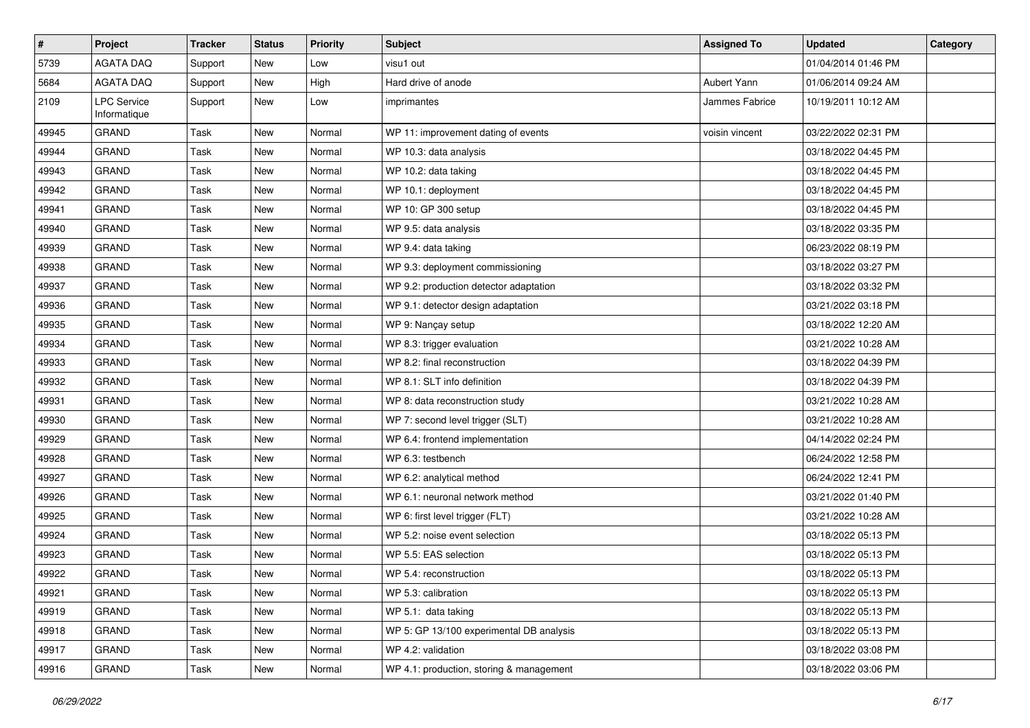| #     | Project                            | <b>Tracker</b> | <b>Status</b> | <b>Priority</b> | <b>Subject</b>                           | <b>Assigned To</b> | <b>Updated</b>      | Category |
|-------|------------------------------------|----------------|---------------|-----------------|------------------------------------------|--------------------|---------------------|----------|
| 5739  | <b>AGATA DAQ</b>                   | Support        | New           | Low             | visu1 out                                |                    | 01/04/2014 01:46 PM |          |
| 5684  | <b>AGATA DAQ</b>                   | Support        | New           | High            | Hard drive of anode                      | Aubert Yann        | 01/06/2014 09:24 AM |          |
| 2109  | <b>LPC Service</b><br>Informatique | Support        | New           | Low             | imprimantes                              | Jammes Fabrice     | 10/19/2011 10:12 AM |          |
| 49945 | <b>GRAND</b>                       | Task           | New           | Normal          | WP 11: improvement dating of events      | voisin vincent     | 03/22/2022 02:31 PM |          |
| 49944 | <b>GRAND</b>                       | Task           | New           | Normal          | WP 10.3: data analysis                   |                    | 03/18/2022 04:45 PM |          |
| 49943 | <b>GRAND</b>                       | Task           | New           | Normal          | WP 10.2: data taking                     |                    | 03/18/2022 04:45 PM |          |
| 49942 | <b>GRAND</b>                       | Task           | New           | Normal          | WP 10.1: deployment                      |                    | 03/18/2022 04:45 PM |          |
| 49941 | <b>GRAND</b>                       | Task           | New           | Normal          | WP 10: GP 300 setup                      |                    | 03/18/2022 04:45 PM |          |
| 49940 | <b>GRAND</b>                       | Task           | New           | Normal          | WP 9.5: data analysis                    |                    | 03/18/2022 03:35 PM |          |
| 49939 | <b>GRAND</b>                       | Task           | New           | Normal          | WP 9.4: data taking                      |                    | 06/23/2022 08:19 PM |          |
| 49938 | <b>GRAND</b>                       | Task           | New           | Normal          | WP 9.3: deployment commissioning         |                    | 03/18/2022 03:27 PM |          |
| 49937 | <b>GRAND</b>                       | Task           | New           | Normal          | WP 9.2: production detector adaptation   |                    | 03/18/2022 03:32 PM |          |
| 49936 | <b>GRAND</b>                       | Task           | New           | Normal          | WP 9.1: detector design adaptation       |                    | 03/21/2022 03:18 PM |          |
| 49935 | <b>GRAND</b>                       | Task           | New           | Normal          | WP 9: Nançay setup                       |                    | 03/18/2022 12:20 AM |          |
| 49934 | <b>GRAND</b>                       | Task           | New           | Normal          | WP 8.3: trigger evaluation               |                    | 03/21/2022 10:28 AM |          |
| 49933 | <b>GRAND</b>                       | Task           | New           | Normal          | WP 8.2: final reconstruction             |                    | 03/18/2022 04:39 PM |          |
| 49932 | <b>GRAND</b>                       | Task           | New           | Normal          | WP 8.1: SLT info definition              |                    | 03/18/2022 04:39 PM |          |
| 49931 | <b>GRAND</b>                       | Task           | New           | Normal          | WP 8: data reconstruction study          |                    | 03/21/2022 10:28 AM |          |
| 49930 | <b>GRAND</b>                       | Task           | New           | Normal          | WP 7: second level trigger (SLT)         |                    | 03/21/2022 10:28 AM |          |
| 49929 | <b>GRAND</b>                       | Task           | New           | Normal          | WP 6.4: frontend implementation          |                    | 04/14/2022 02:24 PM |          |
| 49928 | <b>GRAND</b>                       | Task           | New           | Normal          | WP 6.3: testbench                        |                    | 06/24/2022 12:58 PM |          |
| 49927 | <b>GRAND</b>                       | Task           | New           | Normal          | WP 6.2: analytical method                |                    | 06/24/2022 12:41 PM |          |
| 49926 | <b>GRAND</b>                       | Task           | New           | Normal          | WP 6.1: neuronal network method          |                    | 03/21/2022 01:40 PM |          |
| 49925 | <b>GRAND</b>                       | Task           | <b>New</b>    | Normal          | WP 6: first level trigger (FLT)          |                    | 03/21/2022 10:28 AM |          |
| 49924 | <b>GRAND</b>                       | Task           | New           | Normal          | WP 5.2: noise event selection            |                    | 03/18/2022 05:13 PM |          |
| 49923 | <b>GRAND</b>                       | Task           | New           | Normal          | WP 5.5: EAS selection                    |                    | 03/18/2022 05:13 PM |          |
| 49922 | <b>GRAND</b>                       | Task           | New           | Normal          | WP 5.4: reconstruction                   |                    | 03/18/2022 05:13 PM |          |
| 49921 | <b>GRAND</b>                       | Task           | New           | Normal          | WP 5.3: calibration                      |                    | 03/18/2022 05:13 PM |          |
| 49919 | GRAND                              | Task           | New           | Normal          | WP 5.1: data taking                      |                    | 03/18/2022 05:13 PM |          |
| 49918 | <b>GRAND</b>                       | Task           | New           | Normal          | WP 5: GP 13/100 experimental DB analysis |                    | 03/18/2022 05:13 PM |          |
| 49917 | GRAND                              | Task           | New           | Normal          | WP 4.2: validation                       |                    | 03/18/2022 03:08 PM |          |
| 49916 | GRAND                              | Task           | New           | Normal          | WP 4.1: production, storing & management |                    | 03/18/2022 03:06 PM |          |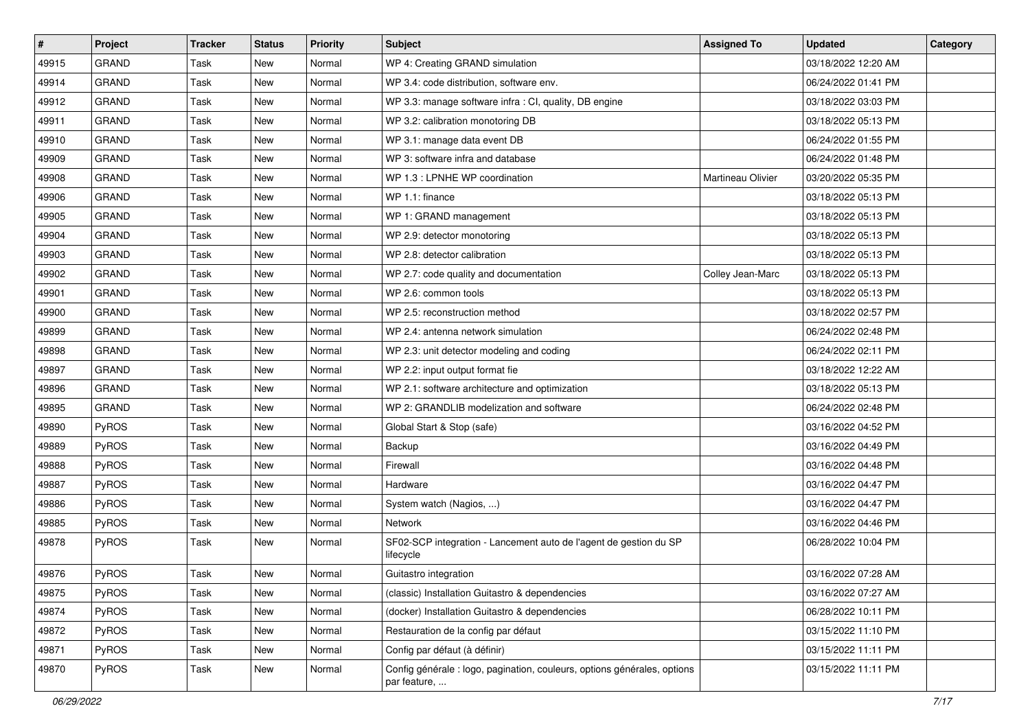| $\sharp$ | Project      | <b>Tracker</b> | <b>Status</b> | <b>Priority</b> | Subject                                                                                  | <b>Assigned To</b> | <b>Updated</b>      | Category |
|----------|--------------|----------------|---------------|-----------------|------------------------------------------------------------------------------------------|--------------------|---------------------|----------|
| 49915    | <b>GRAND</b> | <b>Task</b>    | New           | Normal          | WP 4: Creating GRAND simulation                                                          |                    | 03/18/2022 12:20 AM |          |
| 49914    | <b>GRAND</b> | Task           | New           | Normal          | WP 3.4: code distribution, software env.                                                 |                    | 06/24/2022 01:41 PM |          |
| 49912    | <b>GRAND</b> | Task           | New           | Normal          | WP 3.3: manage software infra : CI, quality, DB engine                                   |                    | 03/18/2022 03:03 PM |          |
| 49911    | <b>GRAND</b> | <b>Task</b>    | New           | Normal          | WP 3.2: calibration monotoring DB                                                        |                    | 03/18/2022 05:13 PM |          |
| 49910    | <b>GRAND</b> | <b>Task</b>    | New           | Normal          | WP 3.1: manage data event DB                                                             |                    | 06/24/2022 01:55 PM |          |
| 49909    | <b>GRAND</b> | Task           | New           | Normal          | WP 3: software infra and database                                                        |                    | 06/24/2022 01:48 PM |          |
| 49908    | <b>GRAND</b> | <b>Task</b>    | <b>New</b>    | Normal          | WP 1.3 : LPNHE WP coordination                                                           | Martineau Olivier  | 03/20/2022 05:35 PM |          |
| 49906    | <b>GRAND</b> | Task           | New           | Normal          | WP 1.1: finance                                                                          |                    | 03/18/2022 05:13 PM |          |
| 49905    | <b>GRAND</b> | Task           | New           | Normal          | WP 1: GRAND management                                                                   |                    | 03/18/2022 05:13 PM |          |
| 49904    | <b>GRAND</b> | Task           | New           | Normal          | WP 2.9: detector monotoring                                                              |                    | 03/18/2022 05:13 PM |          |
| 49903    | <b>GRAND</b> | Task           | New           | Normal          | WP 2.8: detector calibration                                                             |                    | 03/18/2022 05:13 PM |          |
| 49902    | <b>GRAND</b> | Task           | <b>New</b>    | Normal          | WP 2.7: code quality and documentation                                                   | Colley Jean-Marc   | 03/18/2022 05:13 PM |          |
| 49901    | <b>GRAND</b> | Task           | New           | Normal          | WP 2.6: common tools                                                                     |                    | 03/18/2022 05:13 PM |          |
| 49900    | <b>GRAND</b> | Task           | New           | Normal          | WP 2.5: reconstruction method                                                            |                    | 03/18/2022 02:57 PM |          |
| 49899    | <b>GRAND</b> | Task           | New           | Normal          | WP 2.4: antenna network simulation                                                       |                    | 06/24/2022 02:48 PM |          |
| 49898    | <b>GRAND</b> | Task           | <b>New</b>    | Normal          | WP 2.3: unit detector modeling and coding                                                |                    | 06/24/2022 02:11 PM |          |
| 49897    | <b>GRAND</b> | <b>Task</b>    | New           | Normal          | WP 2.2: input output format fie                                                          |                    | 03/18/2022 12:22 AM |          |
| 49896    | <b>GRAND</b> | Task           | New           | Normal          | WP 2.1: software architecture and optimization                                           |                    | 03/18/2022 05:13 PM |          |
| 49895    | <b>GRAND</b> | Task           | New           | Normal          | WP 2: GRANDLIB modelization and software                                                 |                    | 06/24/2022 02:48 PM |          |
| 49890    | PyROS        | <b>Task</b>    | New           | Normal          | Global Start & Stop (safe)                                                               |                    | 03/16/2022 04:52 PM |          |
| 49889    | PyROS        | Task           | New           | Normal          | Backup                                                                                   |                    | 03/16/2022 04:49 PM |          |
| 49888    | PyROS        | <b>Task</b>    | New           | Normal          | Firewall                                                                                 |                    | 03/16/2022 04:48 PM |          |
| 49887    | PyROS        | Task           | New           | Normal          | Hardware                                                                                 |                    | 03/16/2022 04:47 PM |          |
| 49886    | PyROS        | Task           | New           | Normal          | System watch (Nagios, )                                                                  |                    | 03/16/2022 04:47 PM |          |
| 49885    | PyROS        | Task           | New           | Normal          | Network                                                                                  |                    | 03/16/2022 04:46 PM |          |
| 49878    | PyROS        | Task           | New           | Normal          | SF02-SCP integration - Lancement auto de l'agent de gestion du SP<br>lifecycle           |                    | 06/28/2022 10:04 PM |          |
| 49876    | PyROS        | Task           | New           | Normal          | Guitastro integration                                                                    |                    | 03/16/2022 07:28 AM |          |
| 49875    | PyROS        | Task           | New           | Normal          | (classic) Installation Guitastro & dependencies                                          |                    | 03/16/2022 07:27 AM |          |
| 49874    | PyROS        | Task           | New           | Normal          | (docker) Installation Guitastro & dependencies                                           |                    | 06/28/2022 10:11 PM |          |
| 49872    | PyROS        | Task           | New           | Normal          | Restauration de la config par défaut                                                     |                    | 03/15/2022 11:10 PM |          |
| 49871    | PyROS        | Task           | New           | Normal          | Config par défaut (à définir)                                                            |                    | 03/15/2022 11:11 PM |          |
| 49870    | PyROS        | Task           | New           | Normal          | Config générale : logo, pagination, couleurs, options générales, options<br>par feature, |                    | 03/15/2022 11:11 PM |          |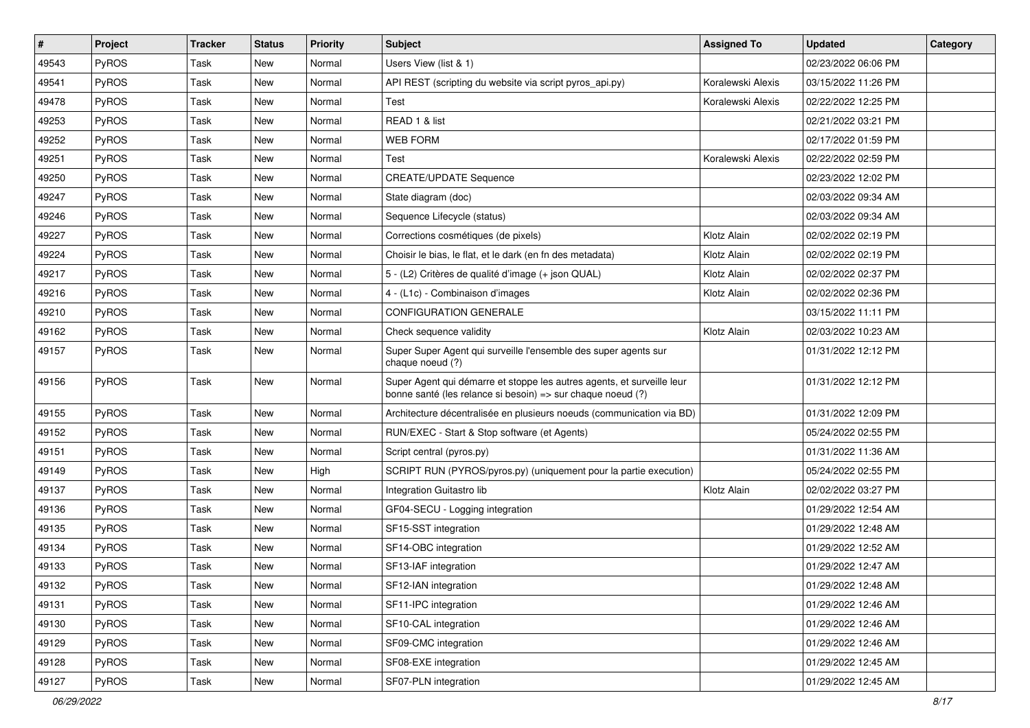| $\vert$ # | Project | <b>Tracker</b> | <b>Status</b> | <b>Priority</b> | <b>Subject</b>                                                                                                                        | <b>Assigned To</b> | <b>Updated</b>      | Category |
|-----------|---------|----------------|---------------|-----------------|---------------------------------------------------------------------------------------------------------------------------------------|--------------------|---------------------|----------|
| 49543     | PyROS   | Task           | <b>New</b>    | Normal          | Users View (list & 1)                                                                                                                 |                    | 02/23/2022 06:06 PM |          |
| 49541     | PyROS   | Task           | New           | Normal          | API REST (scripting du website via script pyros_api.py)                                                                               | Koralewski Alexis  | 03/15/2022 11:26 PM |          |
| 49478     | PyROS   | Task           | <b>New</b>    | Normal          | Test                                                                                                                                  | Koralewski Alexis  | 02/22/2022 12:25 PM |          |
| 49253     | PyROS   | Task           | New           | Normal          | READ 1 & list                                                                                                                         |                    | 02/21/2022 03:21 PM |          |
| 49252     | PyROS   | Task           | New           | Normal          | <b>WEB FORM</b>                                                                                                                       |                    | 02/17/2022 01:59 PM |          |
| 49251     | PyROS   | Task           | New           | Normal          | Test                                                                                                                                  | Koralewski Alexis  | 02/22/2022 02:59 PM |          |
| 49250     | PyROS   | Task           | <b>New</b>    | Normal          | <b>CREATE/UPDATE Sequence</b>                                                                                                         |                    | 02/23/2022 12:02 PM |          |
| 49247     | PyROS   | Task           | <b>New</b>    | Normal          | State diagram (doc)                                                                                                                   |                    | 02/03/2022 09:34 AM |          |
| 49246     | PyROS   | Task           | New           | Normal          | Sequence Lifecycle (status)                                                                                                           |                    | 02/03/2022 09:34 AM |          |
| 49227     | PyROS   | Task           | <b>New</b>    | Normal          | Corrections cosmétiques (de pixels)                                                                                                   | Klotz Alain        | 02/02/2022 02:19 PM |          |
| 49224     | PyROS   | Task           | New           | Normal          | Choisir le bias, le flat, et le dark (en fn des metadata)                                                                             | Klotz Alain        | 02/02/2022 02:19 PM |          |
| 49217     | PyROS   | Task           | <b>New</b>    | Normal          | 5 - (L2) Critères de qualité d'image (+ json QUAL)                                                                                    | Klotz Alain        | 02/02/2022 02:37 PM |          |
| 49216     | PyROS   | Task           | New           | Normal          | 4 - (L1c) - Combinaison d'images                                                                                                      | Klotz Alain        | 02/02/2022 02:36 PM |          |
| 49210     | PyROS   | Task           | <b>New</b>    | Normal          | <b>CONFIGURATION GENERALE</b>                                                                                                         |                    | 03/15/2022 11:11 PM |          |
| 49162     | PyROS   | Task           | New           | Normal          | Check sequence validity                                                                                                               | Klotz Alain        | 02/03/2022 10:23 AM |          |
| 49157     | PyROS   | Task           | <b>New</b>    | Normal          | Super Super Agent qui surveille l'ensemble des super agents sur<br>chaque noeud (?)                                                   |                    | 01/31/2022 12:12 PM |          |
| 49156     | PyROS   | Task           | <b>New</b>    | Normal          | Super Agent qui démarre et stoppe les autres agents, et surveille leur<br>bonne santé (les relance si besoin) => sur chaque noeud (?) |                    | 01/31/2022 12:12 PM |          |
| 49155     | PyROS   | Task           | <b>New</b>    | Normal          | Architecture décentralisée en plusieurs noeuds (communication via BD)                                                                 |                    | 01/31/2022 12:09 PM |          |
| 49152     | PyROS   | Task           | New           | Normal          | RUN/EXEC - Start & Stop software (et Agents)                                                                                          |                    | 05/24/2022 02:55 PM |          |
| 49151     | PyROS   | Task           | <b>New</b>    | Normal          | Script central (pyros.py)                                                                                                             |                    | 01/31/2022 11:36 AM |          |
| 49149     | PyROS   | Task           | New           | High            | SCRIPT RUN (PYROS/pyros.py) (uniquement pour la partie execution)                                                                     |                    | 05/24/2022 02:55 PM |          |
| 49137     | PyROS   | Task           | <b>New</b>    | Normal          | Integration Guitastro lib                                                                                                             | Klotz Alain        | 02/02/2022 03:27 PM |          |
| 49136     | PyROS   | Task           | New           | Normal          | GF04-SECU - Logging integration                                                                                                       |                    | 01/29/2022 12:54 AM |          |
| 49135     | PyROS   | Task           | <b>New</b>    | Normal          | SF15-SST integration                                                                                                                  |                    | 01/29/2022 12:48 AM |          |
| 49134     | PyROS   | Task           | New           | Normal          | SF14-OBC integration                                                                                                                  |                    | 01/29/2022 12:52 AM |          |
| 49133     | PyROS   | Task           | <b>New</b>    | Normal          | SF13-IAF integration                                                                                                                  |                    | 01/29/2022 12:47 AM |          |
| 49132     | PyROS   | Task           | New           | Normal          | SF12-IAN integration                                                                                                                  |                    | 01/29/2022 12:48 AM |          |
| 49131     | PyROS   | Task           | New           | Normal          | SF11-IPC integration                                                                                                                  |                    | 01/29/2022 12:46 AM |          |
| 49130     | PyROS   | Task           | New           | Normal          | SF10-CAL integration                                                                                                                  |                    | 01/29/2022 12:46 AM |          |
| 49129     | PyROS   | Task           | New           | Normal          | SF09-CMC integration                                                                                                                  |                    | 01/29/2022 12:46 AM |          |
| 49128     | PyROS   | Task           | New           | Normal          | SF08-EXE integration                                                                                                                  |                    | 01/29/2022 12:45 AM |          |
| 49127     | PyROS   | Task           | New           | Normal          | SF07-PLN integration                                                                                                                  |                    | 01/29/2022 12:45 AM |          |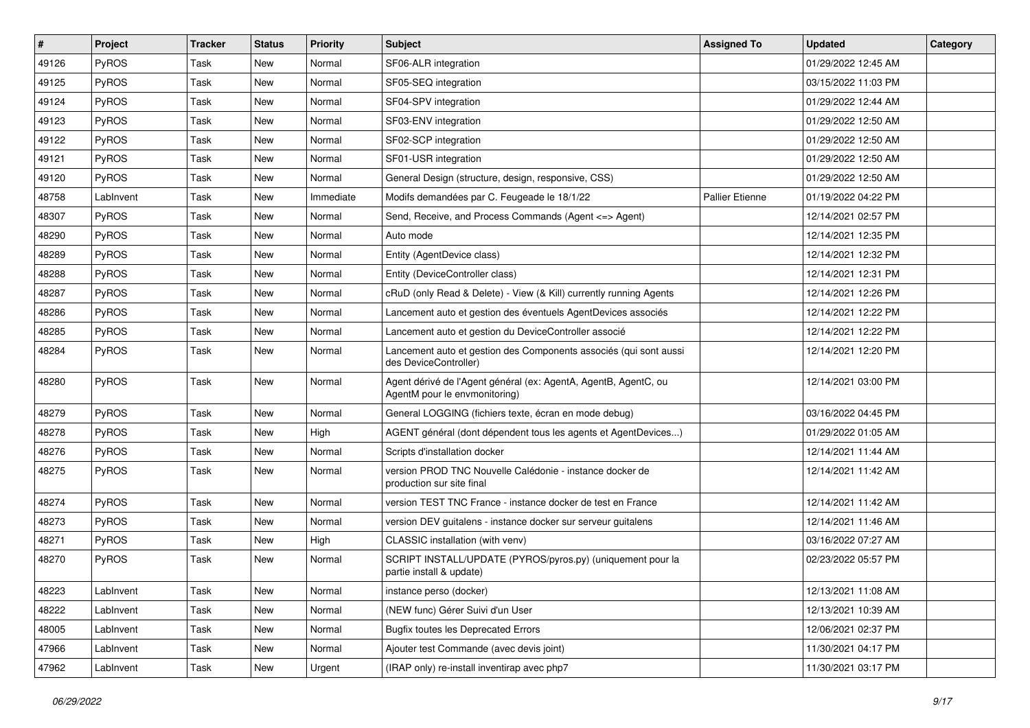| #     | Project      | <b>Tracker</b> | <b>Status</b> | <b>Priority</b> | <b>Subject</b>                                                                                   | <b>Assigned To</b>     | <b>Updated</b>      | Category |
|-------|--------------|----------------|---------------|-----------------|--------------------------------------------------------------------------------------------------|------------------------|---------------------|----------|
| 49126 | PyROS        | <b>Task</b>    | <b>New</b>    | Normal          | SF06-ALR integration                                                                             |                        | 01/29/2022 12:45 AM |          |
| 49125 | PyROS        | Task           | New           | Normal          | SF05-SEQ integration                                                                             |                        | 03/15/2022 11:03 PM |          |
| 49124 | PyROS        | Task           | <b>New</b>    | Normal          | SF04-SPV integration                                                                             |                        | 01/29/2022 12:44 AM |          |
| 49123 | PyROS        | <b>Task</b>    | New           | Normal          | SF03-ENV integration                                                                             |                        | 01/29/2022 12:50 AM |          |
| 49122 | PyROS        | Task           | New           | Normal          | SF02-SCP integration                                                                             |                        | 01/29/2022 12:50 AM |          |
| 49121 | PyROS        | Task           | New           | Normal          | SF01-USR integration                                                                             |                        | 01/29/2022 12:50 AM |          |
| 49120 | <b>PyROS</b> | Task           | <b>New</b>    | Normal          | General Design (structure, design, responsive, CSS)                                              |                        | 01/29/2022 12:50 AM |          |
| 48758 | LabInvent    | Task           | New           | Immediate       | Modifs demandées par C. Feugeade le 18/1/22                                                      | <b>Pallier Etienne</b> | 01/19/2022 04:22 PM |          |
| 48307 | PyROS        | Task           | New           | Normal          | Send, Receive, and Process Commands (Agent <= > Agent)                                           |                        | 12/14/2021 02:57 PM |          |
| 48290 | PyROS        | Task           | New           | Normal          | Auto mode                                                                                        |                        | 12/14/2021 12:35 PM |          |
| 48289 | <b>PyROS</b> | Task           | New           | Normal          | Entity (AgentDevice class)                                                                       |                        | 12/14/2021 12:32 PM |          |
| 48288 | PyROS        | Task           | <b>New</b>    | Normal          | Entity (DeviceController class)                                                                  |                        | 12/14/2021 12:31 PM |          |
| 48287 | PyROS        | Task           | New           | Normal          | cRuD (only Read & Delete) - View (& Kill) currently running Agents                               |                        | 12/14/2021 12:26 PM |          |
| 48286 | PyROS        | Task           | <b>New</b>    | Normal          | Lancement auto et gestion des éventuels AgentDevices associés                                    |                        | 12/14/2021 12:22 PM |          |
| 48285 | PyROS        | Task           | New           | Normal          | Lancement auto et gestion du DeviceController associé                                            |                        | 12/14/2021 12:22 PM |          |
| 48284 | <b>PyROS</b> | Task           | New           | Normal          | Lancement auto et gestion des Components associés (qui sont aussi<br>des DeviceController)       |                        | 12/14/2021 12:20 PM |          |
| 48280 | PyROS        | Task           | <b>New</b>    | Normal          | Agent dérivé de l'Agent général (ex: AgentA, AgentB, AgentC, ou<br>AgentM pour le envmonitoring) |                        | 12/14/2021 03:00 PM |          |
| 48279 | PyROS        | Task           | <b>New</b>    | Normal          | General LOGGING (fichiers texte, écran en mode debug)                                            |                        | 03/16/2022 04:45 PM |          |
| 48278 | PyROS        | Task           | New           | High            | AGENT général (dont dépendent tous les agents et AgentDevices)                                   |                        | 01/29/2022 01:05 AM |          |
| 48276 | PyROS        | Task           | <b>New</b>    | Normal          | Scripts d'installation docker                                                                    |                        | 12/14/2021 11:44 AM |          |
| 48275 | PyROS        | Task           | New           | Normal          | version PROD TNC Nouvelle Calédonie - instance docker de<br>production sur site final            |                        | 12/14/2021 11:42 AM |          |
| 48274 | PyROS        | Task           | New           | Normal          | version TEST TNC France - instance docker de test en France                                      |                        | 12/14/2021 11:42 AM |          |
| 48273 | PyROS        | Task           | New           | Normal          | version DEV guitalens - instance docker sur serveur guitalens                                    |                        | 12/14/2021 11:46 AM |          |
| 48271 | PyROS        | Task           | New           | High            | CLASSIC installation (with venv)                                                                 |                        | 03/16/2022 07:27 AM |          |
| 48270 | PyROS        | Task           | <b>New</b>    | Normal          | SCRIPT INSTALL/UPDATE (PYROS/pyros.py) (uniquement pour la<br>partie install & update)           |                        | 02/23/2022 05:57 PM |          |
| 48223 | LabInvent    | Task           | New           | Normal          | instance perso (docker)                                                                          |                        | 12/13/2021 11:08 AM |          |
| 48222 | LabInvent    | Task           | New           | Normal          | (NEW func) Gérer Suivi d'un User                                                                 |                        | 12/13/2021 10:39 AM |          |
| 48005 | LabInvent    | Task           | New           | Normal          | <b>Bugfix toutes les Deprecated Errors</b>                                                       |                        | 12/06/2021 02:37 PM |          |
| 47966 | LabInvent    | Task           | New           | Normal          | Ajouter test Commande (avec devis joint)                                                         |                        | 11/30/2021 04:17 PM |          |
| 47962 | LabInvent    | Task           | New           | Urgent          | (IRAP only) re-install inventirap avec php7                                                      |                        | 11/30/2021 03:17 PM |          |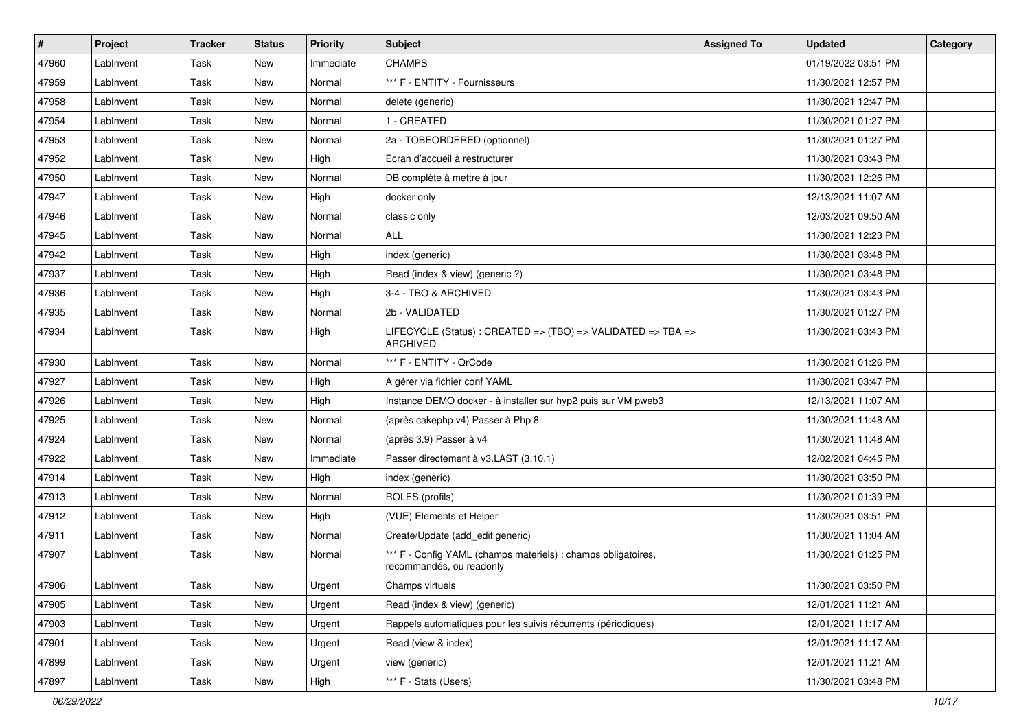| $\vert$ # | Project   | <b>Tracker</b> | <b>Status</b> | <b>Priority</b> | Subject                                                                                   | <b>Assigned To</b> | <b>Updated</b>      | Category |
|-----------|-----------|----------------|---------------|-----------------|-------------------------------------------------------------------------------------------|--------------------|---------------------|----------|
| 47960     | LabInvent | Task           | New           | Immediate       | <b>CHAMPS</b>                                                                             |                    | 01/19/2022 03:51 PM |          |
| 47959     | LabInvent | Task           | New           | Normal          | *** F - ENTITY - Fournisseurs                                                             |                    | 11/30/2021 12:57 PM |          |
| 47958     | LabInvent | Task           | New           | Normal          | delete (generic)                                                                          |                    | 11/30/2021 12:47 PM |          |
| 47954     | LabInvent | Task           | New           | Normal          | 1 - CREATED                                                                               |                    | 11/30/2021 01:27 PM |          |
| 47953     | LabInvent | Task           | New           | Normal          | 2a - TOBEORDERED (optionnel)                                                              |                    | 11/30/2021 01:27 PM |          |
| 47952     | LabInvent | Task           | New           | High            | Ecran d'accueil à restructurer                                                            |                    | 11/30/2021 03:43 PM |          |
| 47950     | LabInvent | Task           | <b>New</b>    | Normal          | DB complète à mettre à jour                                                               |                    | 11/30/2021 12:26 PM |          |
| 47947     | LabInvent | Task           | <b>New</b>    | High            | docker only                                                                               |                    | 12/13/2021 11:07 AM |          |
| 47946     | LabInvent | Task           | New           | Normal          | classic only                                                                              |                    | 12/03/2021 09:50 AM |          |
| 47945     | LabInvent | Task           | <b>New</b>    | Normal          | <b>ALL</b>                                                                                |                    | 11/30/2021 12:23 PM |          |
| 47942     | LabInvent | Task           | New           | High            | index (generic)                                                                           |                    | 11/30/2021 03:48 PM |          |
| 47937     | LabInvent | Task           | <b>New</b>    | High            | Read (index & view) (generic ?)                                                           |                    | 11/30/2021 03:48 PM |          |
| 47936     | LabInvent | Task           | New           | High            | 3-4 - TBO & ARCHIVED                                                                      |                    | 11/30/2021 03:43 PM |          |
| 47935     | LabInvent | Task           | <b>New</b>    | Normal          | 2b - VALIDATED                                                                            |                    | 11/30/2021 01:27 PM |          |
| 47934     | LabInvent | Task           | New           | High            | LIFECYCLE (Status) : CREATED => (TBO) => VALIDATED => TBA =><br><b>ARCHIVED</b>           |                    | 11/30/2021 03:43 PM |          |
| 47930     | LabInvent | Task           | <b>New</b>    | Normal          | *** F - ENTITY - QrCode                                                                   |                    | 11/30/2021 01:26 PM |          |
| 47927     | LabInvent | Task           | <b>New</b>    | High            | A gérer via fichier conf YAML                                                             |                    | 11/30/2021 03:47 PM |          |
| 47926     | LabInvent | Task           | <b>New</b>    | High            | Instance DEMO docker - à installer sur hyp2 puis sur VM pweb3                             |                    | 12/13/2021 11:07 AM |          |
| 47925     | LabInvent | Task           | <b>New</b>    | Normal          | (après cakephp v4) Passer à Php 8                                                         |                    | 11/30/2021 11:48 AM |          |
| 47924     | LabInvent | Task           | New           | Normal          | (après 3.9) Passer à v4                                                                   |                    | 11/30/2021 11:48 AM |          |
| 47922     | LabInvent | Task           | <b>New</b>    | Immediate       | Passer directement à v3.LAST (3.10.1)                                                     |                    | 12/02/2021 04:45 PM |          |
| 47914     | LabInvent | Task           | <b>New</b>    | High            | index (generic)                                                                           |                    | 11/30/2021 03:50 PM |          |
| 47913     | LabInvent | Task           | New           | Normal          | ROLES (profils)                                                                           |                    | 11/30/2021 01:39 PM |          |
| 47912     | LabInvent | Task           | <b>New</b>    | High            | (VUE) Elements et Helper                                                                  |                    | 11/30/2021 03:51 PM |          |
| 47911     | LabInvent | Task           | New           | Normal          | Create/Update (add edit generic)                                                          |                    | 11/30/2021 11:04 AM |          |
| 47907     | LabInvent | Task           | New           | Normal          | *** F - Config YAML (champs materiels) : champs obligatoires,<br>recommandés, ou readonly |                    | 11/30/2021 01:25 PM |          |
| 47906     | LabInvent | Task           | New           | Urgent          | Champs virtuels                                                                           |                    | 11/30/2021 03:50 PM |          |
| 47905     | LabInvent | Task           | New           | Urgent          | Read (index & view) (generic)                                                             |                    | 12/01/2021 11:21 AM |          |
| 47903     | LabInvent | Task           | New           | Urgent          | Rappels automatiques pour les suivis récurrents (périodiques)                             |                    | 12/01/2021 11:17 AM |          |
| 47901     | LabInvent | Task           | New           | Urgent          | Read (view & index)                                                                       |                    | 12/01/2021 11:17 AM |          |
| 47899     | LabInvent | Task           | New           | Urgent          | view (generic)                                                                            |                    | 12/01/2021 11:21 AM |          |
| 47897     | LabInvent | Task           | New           | High            | *** F - Stats (Users)                                                                     |                    | 11/30/2021 03:48 PM |          |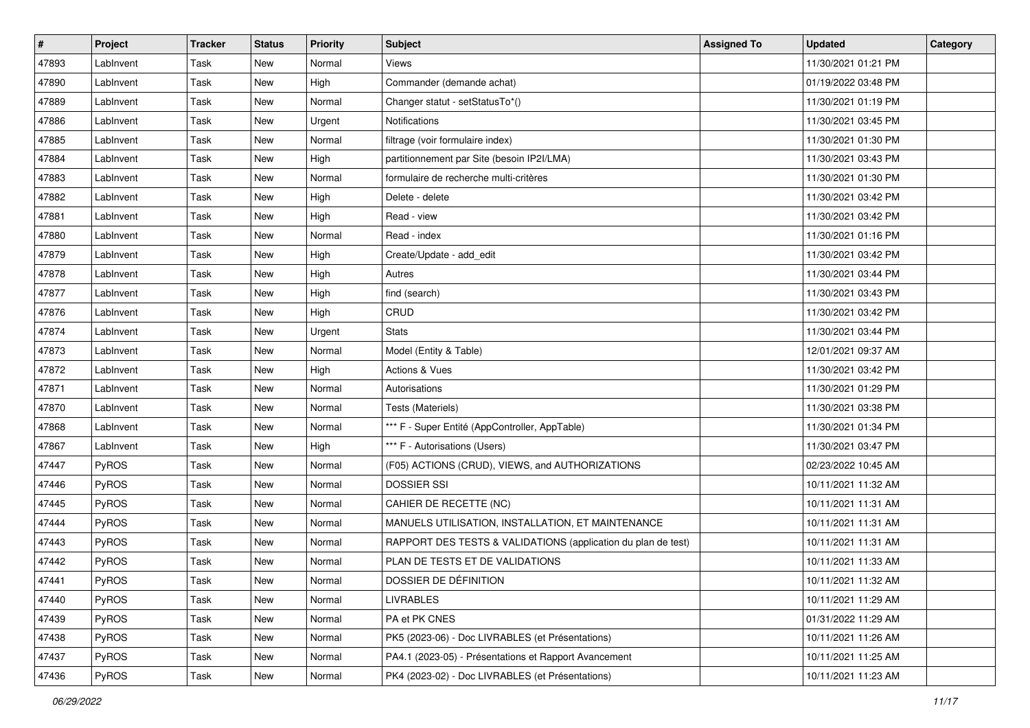| $\sharp$ | Project      | <b>Tracker</b> | <b>Status</b> | <b>Priority</b> | <b>Subject</b>                                                | <b>Assigned To</b> | <b>Updated</b>      | Category |
|----------|--------------|----------------|---------------|-----------------|---------------------------------------------------------------|--------------------|---------------------|----------|
| 47893    | LabInvent    | Task           | New           | Normal          | Views                                                         |                    | 11/30/2021 01:21 PM |          |
| 47890    | LabInvent    | Task           | New           | High            | Commander (demande achat)                                     |                    | 01/19/2022 03:48 PM |          |
| 47889    | LabInvent    | Task           | New           | Normal          | Changer statut - setStatusTo*()                               |                    | 11/30/2021 01:19 PM |          |
| 47886    | LabInvent    | Task           | New           | Urgent          | Notifications                                                 |                    | 11/30/2021 03:45 PM |          |
| 47885    | LabInvent    | Task           | New           | Normal          | filtrage (voir formulaire index)                              |                    | 11/30/2021 01:30 PM |          |
| 47884    | LabInvent    | Task           | New           | High            | partitionnement par Site (besoin IP2I/LMA)                    |                    | 11/30/2021 03:43 PM |          |
| 47883    | LabInvent    | Task           | <b>New</b>    | Normal          | formulaire de recherche multi-critères                        |                    | 11/30/2021 01:30 PM |          |
| 47882    | LabInvent    | Task           | New           | High            | Delete - delete                                               |                    | 11/30/2021 03:42 PM |          |
| 47881    | LabInvent    | Task           | New           | High            | Read - view                                                   |                    | 11/30/2021 03:42 PM |          |
| 47880    | LabInvent    | Task           | New           | Normal          | Read - index                                                  |                    | 11/30/2021 01:16 PM |          |
| 47879    | LabInvent    | Task           | New           | High            | Create/Update - add edit                                      |                    | 11/30/2021 03:42 PM |          |
| 47878    | LabInvent    | Task           | <b>New</b>    | High            | Autres                                                        |                    | 11/30/2021 03:44 PM |          |
| 47877    | LabInvent    | Task           | New           | High            | find (search)                                                 |                    | 11/30/2021 03:43 PM |          |
| 47876    | LabInvent    | Task           | <b>New</b>    | High            | CRUD                                                          |                    | 11/30/2021 03:42 PM |          |
| 47874    | LabInvent    | Task           | New           | Urgent          | <b>Stats</b>                                                  |                    | 11/30/2021 03:44 PM |          |
| 47873    | LabInvent    | Task           | New           | Normal          | Model (Entity & Table)                                        |                    | 12/01/2021 09:37 AM |          |
| 47872    | LabInvent    | Task           | <b>New</b>    | High            | Actions & Vues                                                |                    | 11/30/2021 03:42 PM |          |
| 47871    | LabInvent    | Task           | New           | Normal          | Autorisations                                                 |                    | 11/30/2021 01:29 PM |          |
| 47870    | LabInvent    | Task           | New           | Normal          | Tests (Materiels)                                             |                    | 11/30/2021 03:38 PM |          |
| 47868    | LabInvent    | Task           | New           | Normal          | *** F - Super Entité (AppController, AppTable)                |                    | 11/30/2021 01:34 PM |          |
| 47867    | LabInvent    | Task           | New           | High            | *** F - Autorisations (Users)                                 |                    | 11/30/2021 03:47 PM |          |
| 47447    | PyROS        | Task           | New           | Normal          | (F05) ACTIONS (CRUD), VIEWS, and AUTHORIZATIONS               |                    | 02/23/2022 10:45 AM |          |
| 47446    | PyROS        | Task           | New           | Normal          | <b>DOSSIER SSI</b>                                            |                    | 10/11/2021 11:32 AM |          |
| 47445    | PyROS        | Task           | New           | Normal          | CAHIER DE RECETTE (NC)                                        |                    | 10/11/2021 11:31 AM |          |
| 47444    | PyROS        | Task           | New           | Normal          | MANUELS UTILISATION, INSTALLATION, ET MAINTENANCE             |                    | 10/11/2021 11:31 AM |          |
| 47443    | PyROS        | Task           | New           | Normal          | RAPPORT DES TESTS & VALIDATIONS (application du plan de test) |                    | 10/11/2021 11:31 AM |          |
| 47442    | PyROS        | Task           | <b>New</b>    | Normal          | PLAN DE TESTS ET DE VALIDATIONS                               |                    | 10/11/2021 11:33 AM |          |
| 47441    | PyROS        | Task           | New           | Normal          | DOSSIER DE DÉFINITION                                         |                    | 10/11/2021 11:32 AM |          |
| 47440    | <b>PyROS</b> | Task           | New           | Normal          | <b>LIVRABLES</b>                                              |                    | 10/11/2021 11:29 AM |          |
| 47439    | PyROS        | Task           | New           | Normal          | PA et PK CNES                                                 |                    | 01/31/2022 11:29 AM |          |
| 47438    | PyROS        | Task           | New           | Normal          | PK5 (2023-06) - Doc LIVRABLES (et Présentations)              |                    | 10/11/2021 11:26 AM |          |
| 47437    | PyROS        | Task           | New           | Normal          | PA4.1 (2023-05) - Présentations et Rapport Avancement         |                    | 10/11/2021 11:25 AM |          |
| 47436    | PyROS        | Task           | New           | Normal          | PK4 (2023-02) - Doc LIVRABLES (et Présentations)              |                    | 10/11/2021 11:23 AM |          |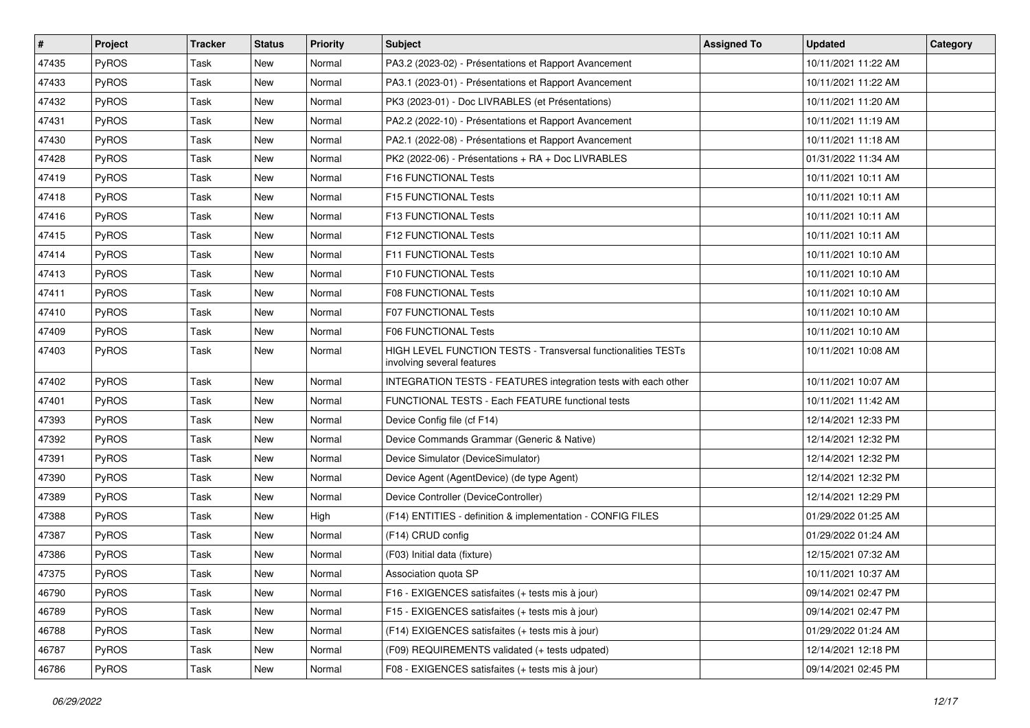| #     | Project      | <b>Tracker</b> | <b>Status</b> | <b>Priority</b> | <b>Subject</b>                                                                              | <b>Assigned To</b> | <b>Updated</b>      | Category |
|-------|--------------|----------------|---------------|-----------------|---------------------------------------------------------------------------------------------|--------------------|---------------------|----------|
| 47435 | PyROS        | <b>Task</b>    | New           | Normal          | PA3.2 (2023-02) - Présentations et Rapport Avancement                                       |                    | 10/11/2021 11:22 AM |          |
| 47433 | <b>PyROS</b> | <b>Task</b>    | <b>New</b>    | Normal          | PA3.1 (2023-01) - Présentations et Rapport Avancement                                       |                    | 10/11/2021 11:22 AM |          |
| 47432 | PyROS        | Task           | New           | Normal          | PK3 (2023-01) - Doc LIVRABLES (et Présentations)                                            |                    | 10/11/2021 11:20 AM |          |
| 47431 | PyROS        | <b>Task</b>    | New           | Normal          | PA2.2 (2022-10) - Présentations et Rapport Avancement                                       |                    | 10/11/2021 11:19 AM |          |
| 47430 | PyROS        | <b>Task</b>    | New           | Normal          | PA2.1 (2022-08) - Présentations et Rapport Avancement                                       |                    | 10/11/2021 11:18 AM |          |
| 47428 | PyROS        | Task           | New           | Normal          | PK2 (2022-06) - Présentations + RA + Doc LIVRABLES                                          |                    | 01/31/2022 11:34 AM |          |
| 47419 | PyROS        | Task           | <b>New</b>    | Normal          | F16 FUNCTIONAL Tests                                                                        |                    | 10/11/2021 10:11 AM |          |
| 47418 | PyROS        | Task           | New           | Normal          | F15 FUNCTIONAL Tests                                                                        |                    | 10/11/2021 10:11 AM |          |
| 47416 | PyROS        | Task           | <b>New</b>    | Normal          | F13 FUNCTIONAL Tests                                                                        |                    | 10/11/2021 10:11 AM |          |
| 47415 | PyROS        | <b>Task</b>    | New           | Normal          | F12 FUNCTIONAL Tests                                                                        |                    | 10/11/2021 10:11 AM |          |
| 47414 | <b>PyROS</b> | Task           | New           | Normal          | F11 FUNCTIONAL Tests                                                                        |                    | 10/11/2021 10:10 AM |          |
| 47413 | PyROS        | <b>Task</b>    | New           | Normal          | F10 FUNCTIONAL Tests                                                                        |                    | 10/11/2021 10:10 AM |          |
| 47411 | PyROS        | Task           | New           | Normal          | <b>F08 FUNCTIONAL Tests</b>                                                                 |                    | 10/11/2021 10:10 AM |          |
| 47410 | PyROS        | Task           | New           | Normal          | <b>F07 FUNCTIONAL Tests</b>                                                                 |                    | 10/11/2021 10:10 AM |          |
| 47409 | PyROS        | Task           | New           | Normal          | F06 FUNCTIONAL Tests                                                                        |                    | 10/11/2021 10:10 AM |          |
| 47403 | PyROS        | Task           | New           | Normal          | HIGH LEVEL FUNCTION TESTS - Transversal functionalities TESTs<br>involving several features |                    | 10/11/2021 10:08 AM |          |
| 47402 | PyROS        | <b>Task</b>    | <b>New</b>    | Normal          | INTEGRATION TESTS - FEATURES integration tests with each other                              |                    | 10/11/2021 10:07 AM |          |
| 47401 | PyROS        | Task           | New           | Normal          | FUNCTIONAL TESTS - Each FEATURE functional tests                                            |                    | 10/11/2021 11:42 AM |          |
| 47393 | PyROS        | <b>Task</b>    | <b>New</b>    | Normal          | Device Config file (cf F14)                                                                 |                    | 12/14/2021 12:33 PM |          |
| 47392 | PyROS        | <b>Task</b>    | New           | Normal          | Device Commands Grammar (Generic & Native)                                                  |                    | 12/14/2021 12:32 PM |          |
| 47391 | PyROS        | <b>Task</b>    | New           | Normal          | Device Simulator (DeviceSimulator)                                                          |                    | 12/14/2021 12:32 PM |          |
| 47390 | PyROS        | Task           | New           | Normal          | Device Agent (AgentDevice) (de type Agent)                                                  |                    | 12/14/2021 12:32 PM |          |
| 47389 | PyROS        | Task           | New           | Normal          | Device Controller (DeviceController)                                                        |                    | 12/14/2021 12:29 PM |          |
| 47388 | PyROS        | <b>Task</b>    | New           | High            | (F14) ENTITIES - definition & implementation - CONFIG FILES                                 |                    | 01/29/2022 01:25 AM |          |
| 47387 | PyROS        | <b>Task</b>    | New           | Normal          | (F14) CRUD config                                                                           |                    | 01/29/2022 01:24 AM |          |
| 47386 | PyROS        | Task           | New           | Normal          | (F03) Initial data (fixture)                                                                |                    | 12/15/2021 07:32 AM |          |
| 47375 | PyROS        | Task           | New           | Normal          | Association quota SP                                                                        |                    | 10/11/2021 10:37 AM |          |
| 46790 | PyROS        | Task           | New           | Normal          | F16 - EXIGENCES satisfaites (+ tests mis à jour)                                            |                    | 09/14/2021 02:47 PM |          |
| 46789 | PyROS        | Task           | New           | Normal          | F15 - EXIGENCES satisfaites (+ tests mis à jour)                                            |                    | 09/14/2021 02:47 PM |          |
| 46788 | PyROS        | Task           | New           | Normal          | (F14) EXIGENCES satisfaites (+ tests mis à jour)                                            |                    | 01/29/2022 01:24 AM |          |
| 46787 | PyROS        | Task           | New           | Normal          | (F09) REQUIREMENTS validated (+ tests udpated)                                              |                    | 12/14/2021 12:18 PM |          |
| 46786 | PyROS        | Task           | New           | Normal          | F08 - EXIGENCES satisfaites (+ tests mis à jour)                                            |                    | 09/14/2021 02:45 PM |          |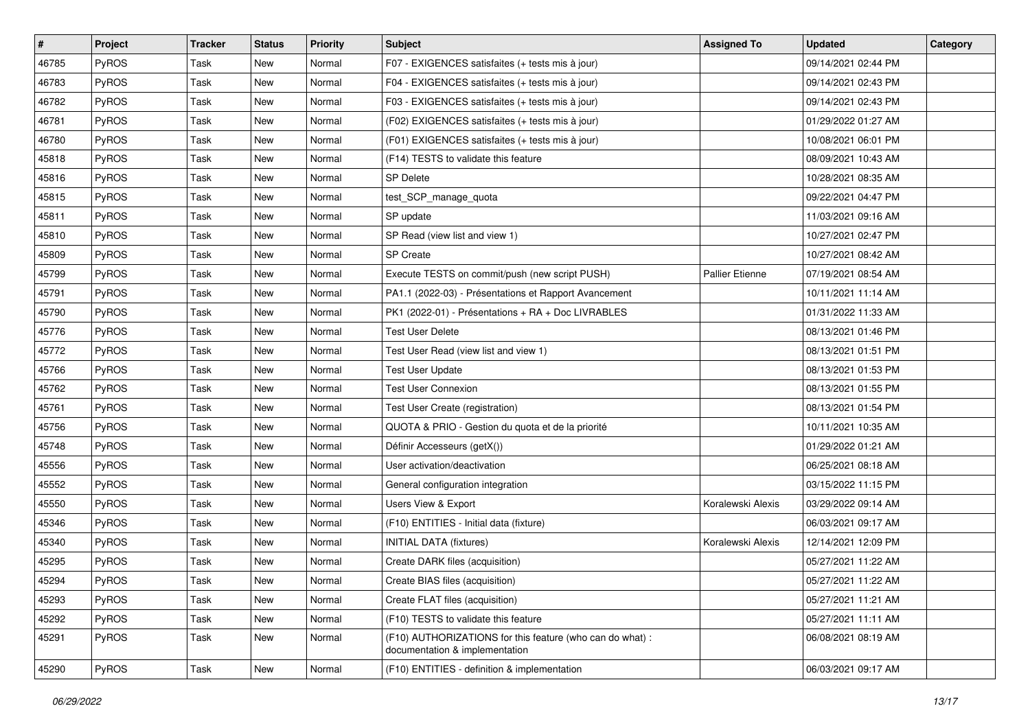| #     | Project      | <b>Tracker</b> | <b>Status</b> | <b>Priority</b> | <b>Subject</b>                                                                              | <b>Assigned To</b> | <b>Updated</b>      | Category |
|-------|--------------|----------------|---------------|-----------------|---------------------------------------------------------------------------------------------|--------------------|---------------------|----------|
| 46785 | PyROS        | <b>Task</b>    | New           | Normal          | F07 - EXIGENCES satisfaites (+ tests mis à jour)                                            |                    | 09/14/2021 02:44 PM |          |
| 46783 | PyROS        | <b>Task</b>    | New           | Normal          | F04 - EXIGENCES satisfaites (+ tests mis à jour)                                            |                    | 09/14/2021 02:43 PM |          |
| 46782 | <b>PyROS</b> | Task           | New           | Normal          | F03 - EXIGENCES satisfaites (+ tests mis à jour)                                            |                    | 09/14/2021 02:43 PM |          |
| 46781 | PyROS        | <b>Task</b>    | New           | Normal          | (F02) EXIGENCES satisfaites (+ tests mis à jour)                                            |                    | 01/29/2022 01:27 AM |          |
| 46780 | PyROS        | <b>Task</b>    | New           | Normal          | (F01) EXIGENCES satisfaites (+ tests mis à jour)                                            |                    | 10/08/2021 06:01 PM |          |
| 45818 | PyROS        | Task           | New           | Normal          | (F14) TESTS to validate this feature                                                        |                    | 08/09/2021 10:43 AM |          |
| 45816 | PyROS        | Task           | <b>New</b>    | Normal          | <b>SP Delete</b>                                                                            |                    | 10/28/2021 08:35 AM |          |
| 45815 | PyROS        | Task           | New           | Normal          | test_SCP_manage_quota                                                                       |                    | 09/22/2021 04:47 PM |          |
| 45811 | PyROS        | Task           | New           | Normal          | SP update                                                                                   |                    | 11/03/2021 09:16 AM |          |
| 45810 | PyROS        | Task           | New           | Normal          | SP Read (view list and view 1)                                                              |                    | 10/27/2021 02:47 PM |          |
| 45809 | PyROS        | Task           | New           | Normal          | <b>SP Create</b>                                                                            |                    | 10/27/2021 08:42 AM |          |
| 45799 | PyROS        | Task           | New           | Normal          | Execute TESTS on commit/push (new script PUSH)                                              | Pallier Etienne    | 07/19/2021 08:54 AM |          |
| 45791 | PyROS        | Task           | New           | Normal          | PA1.1 (2022-03) - Présentations et Rapport Avancement                                       |                    | 10/11/2021 11:14 AM |          |
| 45790 | PyROS        | Task           | New           | Normal          | PK1 (2022-01) - Présentations + RA + Doc LIVRABLES                                          |                    | 01/31/2022 11:33 AM |          |
| 45776 | PyROS        | Task           | New           | Normal          | <b>Test User Delete</b>                                                                     |                    | 08/13/2021 01:46 PM |          |
| 45772 | <b>PyROS</b> | Task           | New           | Normal          | Test User Read (view list and view 1)                                                       |                    | 08/13/2021 01:51 PM |          |
| 45766 | PyROS        | <b>Task</b>    | New           | Normal          | <b>Test User Update</b>                                                                     |                    | 08/13/2021 01:53 PM |          |
| 45762 | PyROS        | Task           | New           | Normal          | <b>Test User Connexion</b>                                                                  |                    | 08/13/2021 01:55 PM |          |
| 45761 | PyROS        | Task           | New           | Normal          | Test User Create (registration)                                                             |                    | 08/13/2021 01:54 PM |          |
| 45756 | PyROS        | <b>Task</b>    | New           | Normal          | QUOTA & PRIO - Gestion du quota et de la priorité                                           |                    | 10/11/2021 10:35 AM |          |
| 45748 | PyROS        | Task           | New           | Normal          | Définir Accesseurs (getX())                                                                 |                    | 01/29/2022 01:21 AM |          |
| 45556 | PyROS        | <b>Task</b>    | New           | Normal          | User activation/deactivation                                                                |                    | 06/25/2021 08:18 AM |          |
| 45552 | PyROS        | Task           | New           | Normal          | General configuration integration                                                           |                    | 03/15/2022 11:15 PM |          |
| 45550 | PyROS        | Task           | New           | Normal          | Users View & Export                                                                         | Koralewski Alexis  | 03/29/2022 09:14 AM |          |
| 45346 | PyROS        | <b>Task</b>    | New           | Normal          | (F10) ENTITIES - Initial data (fixture)                                                     |                    | 06/03/2021 09:17 AM |          |
| 45340 | PyROS        | Task           | New           | Normal          | <b>INITIAL DATA (fixtures)</b>                                                              | Koralewski Alexis  | 12/14/2021 12:09 PM |          |
| 45295 | PyROS        | Task           | New           | Normal          | Create DARK files (acquisition)                                                             |                    | 05/27/2021 11:22 AM |          |
| 45294 | PyROS        | Task           | New           | Normal          | Create BIAS files (acquisition)                                                             |                    | 05/27/2021 11:22 AM |          |
| 45293 | PyROS        | Task           | New           | Normal          | Create FLAT files (acquisition)                                                             |                    | 05/27/2021 11:21 AM |          |
| 45292 | PyROS        | Task           | New           | Normal          | (F10) TESTS to validate this feature                                                        |                    | 05/27/2021 11:11 AM |          |
| 45291 | PyROS        | Task           | New           | Normal          | (F10) AUTHORIZATIONS for this feature (who can do what) :<br>documentation & implementation |                    | 06/08/2021 08:19 AM |          |
| 45290 | PyROS        | Task           | New           | Normal          | (F10) ENTITIES - definition & implementation                                                |                    | 06/03/2021 09:17 AM |          |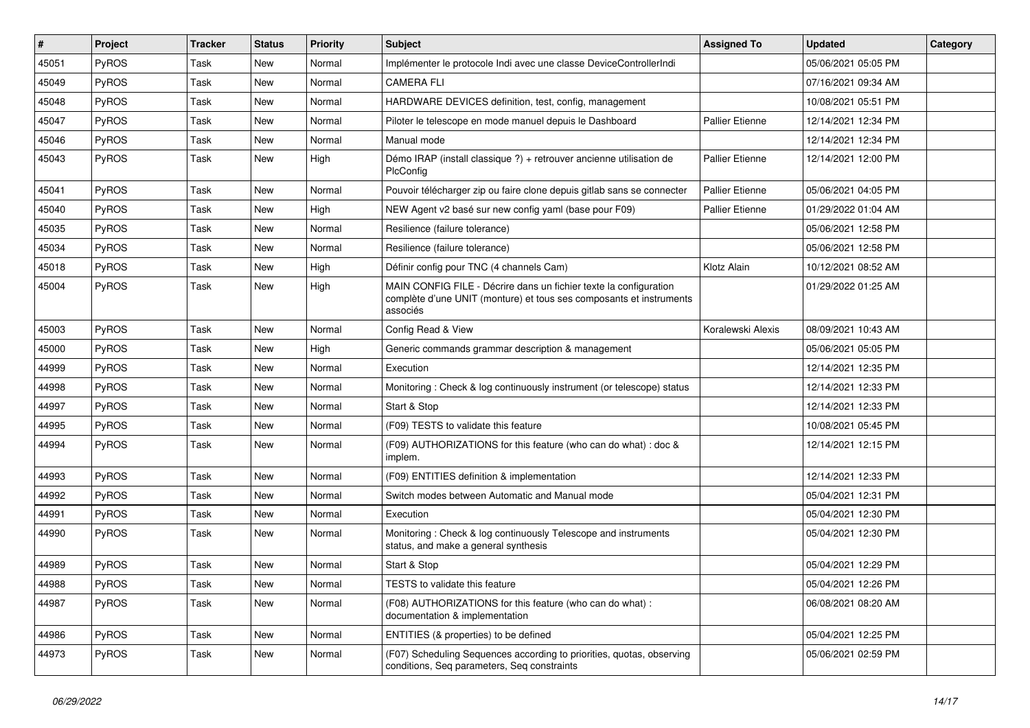| #     | Project      | <b>Tracker</b> | <b>Status</b> | <b>Priority</b> | <b>Subject</b>                                                                                                                                       | <b>Assigned To</b>     | <b>Updated</b>      | Category |
|-------|--------------|----------------|---------------|-----------------|------------------------------------------------------------------------------------------------------------------------------------------------------|------------------------|---------------------|----------|
| 45051 | PyROS        | Task           | New           | Normal          | Implémenter le protocole Indi avec une classe DeviceControllerIndi                                                                                   |                        | 05/06/2021 05:05 PM |          |
| 45049 | PyROS        | Task           | New           | Normal          | <b>CAMERA FLI</b>                                                                                                                                    |                        | 07/16/2021 09:34 AM |          |
| 45048 | <b>PyROS</b> | Task           | New           | Normal          | HARDWARE DEVICES definition, test, config, management                                                                                                |                        | 10/08/2021 05:51 PM |          |
| 45047 | PyROS        | Task           | New           | Normal          | Piloter le telescope en mode manuel depuis le Dashboard                                                                                              | <b>Pallier Etienne</b> | 12/14/2021 12:34 PM |          |
| 45046 | PyROS        | Task           | New           | Normal          | Manual mode                                                                                                                                          |                        | 12/14/2021 12:34 PM |          |
| 45043 | PyROS        | Task           | New           | High            | Démo IRAP (install classique ?) + retrouver ancienne utilisation de<br>PlcConfig                                                                     | <b>Pallier Etienne</b> | 12/14/2021 12:00 PM |          |
| 45041 | PyROS        | Task           | New           | Normal          | Pouvoir télécharger zip ou faire clone depuis gitlab sans se connecter                                                                               | <b>Pallier Etienne</b> | 05/06/2021 04:05 PM |          |
| 45040 | PyROS        | Task           | New           | High            | NEW Agent v2 basé sur new config yaml (base pour F09)                                                                                                | <b>Pallier Etienne</b> | 01/29/2022 01:04 AM |          |
| 45035 | PyROS        | Task           | New           | Normal          | Resilience (failure tolerance)                                                                                                                       |                        | 05/06/2021 12:58 PM |          |
| 45034 | PyROS        | Task           | New           | Normal          | Resilience (failure tolerance)                                                                                                                       |                        | 05/06/2021 12:58 PM |          |
| 45018 | PyROS        | Task           | New           | High            | Définir config pour TNC (4 channels Cam)                                                                                                             | Klotz Alain            | 10/12/2021 08:52 AM |          |
| 45004 | PyROS        | Task           | New           | High            | MAIN CONFIG FILE - Décrire dans un fichier texte la configuration<br>complète d'une UNIT (monture) et tous ses composants et instruments<br>associés |                        | 01/29/2022 01:25 AM |          |
| 45003 | PyROS        | Task           | New           | Normal          | Config Read & View                                                                                                                                   | Koralewski Alexis      | 08/09/2021 10:43 AM |          |
| 45000 | PyROS        | Task           | New           | High            | Generic commands grammar description & management                                                                                                    |                        | 05/06/2021 05:05 PM |          |
| 44999 | PyROS        | Task           | New           | Normal          | Execution                                                                                                                                            |                        | 12/14/2021 12:35 PM |          |
| 44998 | <b>PyROS</b> | Task           | New           | Normal          | Monitoring: Check & log continuously instrument (or telescope) status                                                                                |                        | 12/14/2021 12:33 PM |          |
| 44997 | PyROS        | Task           | New           | Normal          | Start & Stop                                                                                                                                         |                        | 12/14/2021 12:33 PM |          |
| 44995 | PyROS        | Task           | New           | Normal          | (F09) TESTS to validate this feature                                                                                                                 |                        | 10/08/2021 05:45 PM |          |
| 44994 | PyROS        | Task           | New           | Normal          | (F09) AUTHORIZATIONS for this feature (who can do what) : doc &<br>implem.                                                                           |                        | 12/14/2021 12:15 PM |          |
| 44993 | PyROS        | Task           | New           | Normal          | (F09) ENTITIES definition & implementation                                                                                                           |                        | 12/14/2021 12:33 PM |          |
| 44992 | PyROS        | Task           | New           | Normal          | Switch modes between Automatic and Manual mode                                                                                                       |                        | 05/04/2021 12:31 PM |          |
| 44991 | PyROS        | Task           | New           | Normal          | Execution                                                                                                                                            |                        | 05/04/2021 12:30 PM |          |
| 44990 | PyROS        | Task           | New           | Normal          | Monitoring: Check & log continuously Telescope and instruments<br>status, and make a general synthesis                                               |                        | 05/04/2021 12:30 PM |          |
| 44989 | <b>PyROS</b> | Task           | New           | Normal          | Start & Stop                                                                                                                                         |                        | 05/04/2021 12:29 PM |          |
| 44988 | PyROS        | Task           | New           | Normal          | TESTS to validate this feature                                                                                                                       |                        | 05/04/2021 12:26 PM |          |
| 44987 | PyROS        | Task           | New           | Normal          | (F08) AUTHORIZATIONS for this feature (who can do what) :<br>documentation & implementation                                                          |                        | 06/08/2021 08:20 AM |          |
| 44986 | PyROS        | Task           | New           | Normal          | ENTITIES (& properties) to be defined                                                                                                                |                        | 05/04/2021 12:25 PM |          |
| 44973 | PyROS        | Task           | New           | Normal          | (F07) Scheduling Sequences according to priorities, quotas, observing<br>conditions, Seq parameters, Seq constraints                                 |                        | 05/06/2021 02:59 PM |          |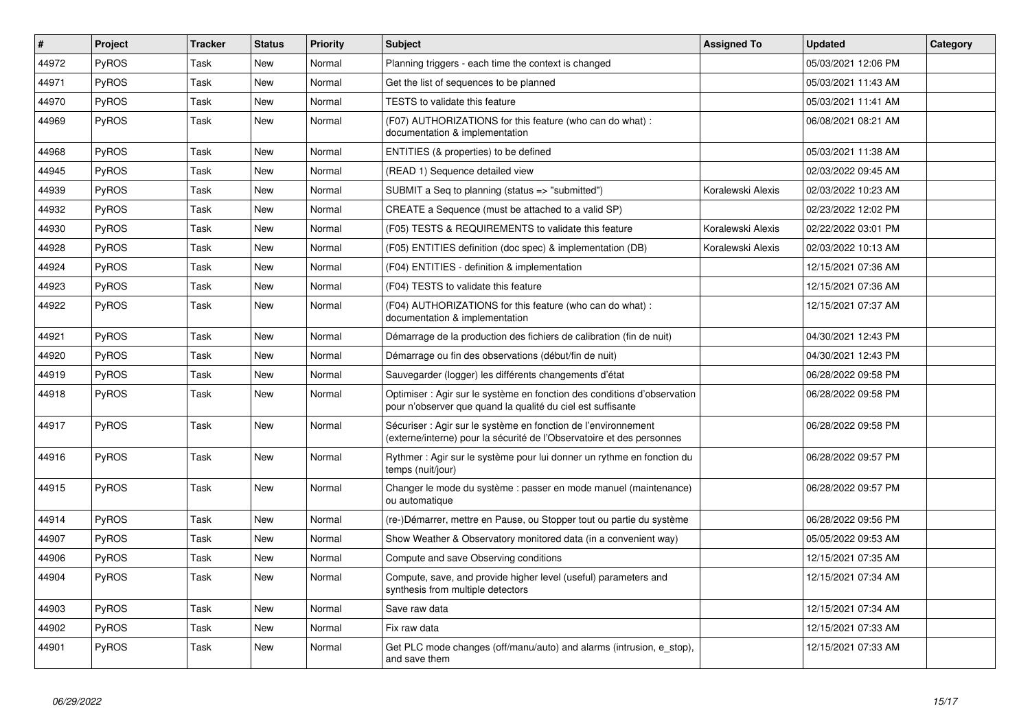| #     | Project      | <b>Tracker</b> | <b>Status</b> | <b>Priority</b> | <b>Subject</b>                                                                                                                          | <b>Assigned To</b> | <b>Updated</b>      | Category |
|-------|--------------|----------------|---------------|-----------------|-----------------------------------------------------------------------------------------------------------------------------------------|--------------------|---------------------|----------|
| 44972 | PyROS        | Task           | New           | Normal          | Planning triggers - each time the context is changed                                                                                    |                    | 05/03/2021 12:06 PM |          |
| 44971 | PyROS        | Task           | New           | Normal          | Get the list of sequences to be planned                                                                                                 |                    | 05/03/2021 11:43 AM |          |
| 44970 | PyROS        | Task           | <b>New</b>    | Normal          | TESTS to validate this feature                                                                                                          |                    | 05/03/2021 11:41 AM |          |
| 44969 | <b>PyROS</b> | Task           | New           | Normal          | (F07) AUTHORIZATIONS for this feature (who can do what):<br>documentation & implementation                                              |                    | 06/08/2021 08:21 AM |          |
| 44968 | PyROS        | Task           | <b>New</b>    | Normal          | ENTITIES (& properties) to be defined                                                                                                   |                    | 05/03/2021 11:38 AM |          |
| 44945 | <b>PyROS</b> | Task           | <b>New</b>    | Normal          | (READ 1) Sequence detailed view                                                                                                         |                    | 02/03/2022 09:45 AM |          |
| 44939 | PyROS        | Task           | <b>New</b>    | Normal          | SUBMIT a Seq to planning (status => "submitted")                                                                                        | Koralewski Alexis  | 02/03/2022 10:23 AM |          |
| 44932 | PyROS        | Task           | New           | Normal          | CREATE a Sequence (must be attached to a valid SP)                                                                                      |                    | 02/23/2022 12:02 PM |          |
| 44930 | PyROS        | Task           | New           | Normal          | (F05) TESTS & REQUIREMENTS to validate this feature                                                                                     | Koralewski Alexis  | 02/22/2022 03:01 PM |          |
| 44928 | PyROS        | Task           | <b>New</b>    | Normal          | (F05) ENTITIES definition (doc spec) & implementation (DB)                                                                              | Koralewski Alexis  | 02/03/2022 10:13 AM |          |
| 44924 | PyROS        | Task           | <b>New</b>    | Normal          | (F04) ENTITIES - definition & implementation                                                                                            |                    | 12/15/2021 07:36 AM |          |
| 44923 | PyROS        | Task           | New           | Normal          | (F04) TESTS to validate this feature                                                                                                    |                    | 12/15/2021 07:36 AM |          |
| 44922 | PyROS        | Task           | New           | Normal          | (F04) AUTHORIZATIONS for this feature (who can do what) :<br>documentation & implementation                                             |                    | 12/15/2021 07:37 AM |          |
| 44921 | <b>PyROS</b> | Task           | New           | Normal          | Démarrage de la production des fichiers de calibration (fin de nuit)                                                                    |                    | 04/30/2021 12:43 PM |          |
| 44920 | PyROS        | Task           | <b>New</b>    | Normal          | Démarrage ou fin des observations (début/fin de nuit)                                                                                   |                    | 04/30/2021 12:43 PM |          |
| 44919 | PyROS        | Task           | New           | Normal          | Sauvegarder (logger) les différents changements d'état                                                                                  |                    | 06/28/2022 09:58 PM |          |
| 44918 | PyROS        | Task           | <b>New</b>    | Normal          | Optimiser : Agir sur le système en fonction des conditions d'observation<br>pour n'observer que quand la qualité du ciel est suffisante |                    | 06/28/2022 09:58 PM |          |
| 44917 | PyROS        | Task           | New           | Normal          | Sécuriser : Agir sur le système en fonction de l'environnement<br>(externe/interne) pour la sécurité de l'Observatoire et des personnes |                    | 06/28/2022 09:58 PM |          |
| 44916 | <b>PyROS</b> | Task           | New           | Normal          | Rythmer : Agir sur le système pour lui donner un rythme en fonction du<br>temps (nuit/jour)                                             |                    | 06/28/2022 09:57 PM |          |
| 44915 | PyROS        | Task           | New           | Normal          | Changer le mode du système : passer en mode manuel (maintenance)<br>ou automatique                                                      |                    | 06/28/2022 09:57 PM |          |
| 44914 | PyROS        | Task           | <b>New</b>    | Normal          | (re-)Démarrer, mettre en Pause, ou Stopper tout ou partie du système                                                                    |                    | 06/28/2022 09:56 PM |          |
| 44907 | PyROS        | Task           | <b>New</b>    | Normal          | Show Weather & Observatory monitored data (in a convenient way)                                                                         |                    | 05/05/2022 09:53 AM |          |
| 44906 | PyROS        | Task           | New           | Normal          | Compute and save Observing conditions                                                                                                   |                    | 12/15/2021 07:35 AM |          |
| 44904 | PyROS        | Task           | New           | Normal          | Compute, save, and provide higher level (useful) parameters and<br>synthesis from multiple detectors                                    |                    | 12/15/2021 07:34 AM |          |
| 44903 | PyROS        | Task           | <b>New</b>    | Normal          | Save raw data                                                                                                                           |                    | 12/15/2021 07:34 AM |          |
| 44902 | PyROS        | Task           | New           | Normal          | Fix raw data                                                                                                                            |                    | 12/15/2021 07:33 AM |          |
| 44901 | PyROS        | Task           | <b>New</b>    | Normal          | Get PLC mode changes (off/manu/auto) and alarms (intrusion, e stop),<br>and save them                                                   |                    | 12/15/2021 07:33 AM |          |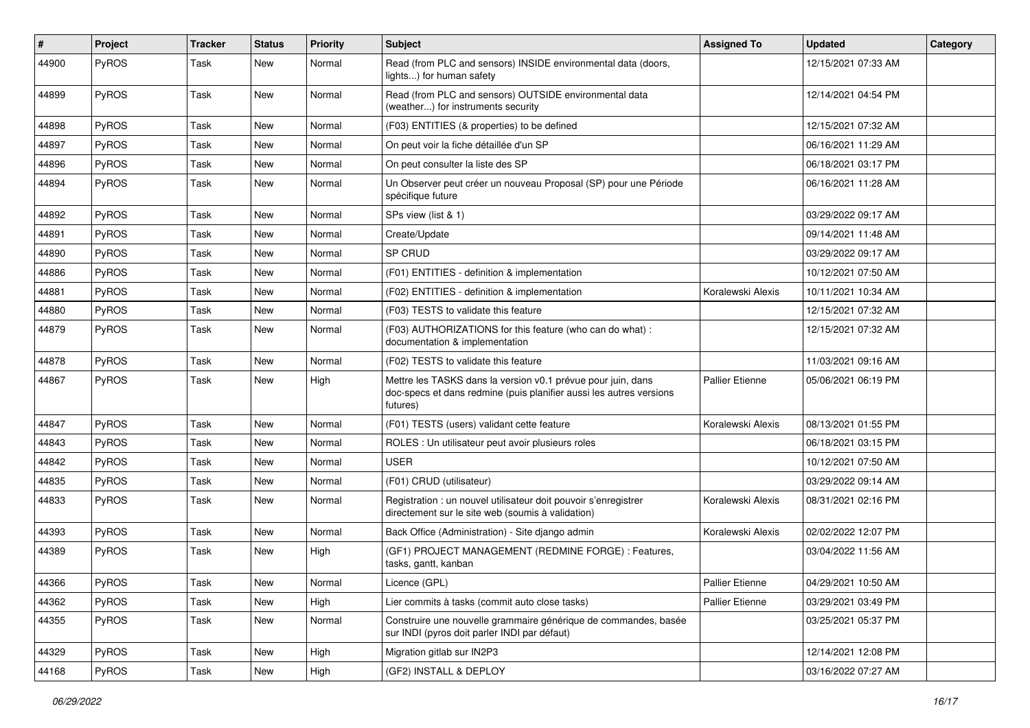| ∦     | Project      | <b>Tracker</b> | <b>Status</b> | <b>Priority</b> | Subject                                                                                                                                         | <b>Assigned To</b>     | <b>Updated</b>      | Category |
|-------|--------------|----------------|---------------|-----------------|-------------------------------------------------------------------------------------------------------------------------------------------------|------------------------|---------------------|----------|
| 44900 | PyROS        | Task           | <b>New</b>    | Normal          | Read (from PLC and sensors) INSIDE environmental data (doors,<br>lights) for human safety                                                       |                        | 12/15/2021 07:33 AM |          |
| 44899 | PyROS        | Task           | <b>New</b>    | Normal          | Read (from PLC and sensors) OUTSIDE environmental data<br>(weather) for instruments security                                                    |                        | 12/14/2021 04:54 PM |          |
| 44898 | PyROS        | Task           | New           | Normal          | (F03) ENTITIES (& properties) to be defined                                                                                                     |                        | 12/15/2021 07:32 AM |          |
| 44897 | PyROS        | Task           | New           | Normal          | On peut voir la fiche détaillée d'un SP                                                                                                         |                        | 06/16/2021 11:29 AM |          |
| 44896 | PyROS        | Task           | <b>New</b>    | Normal          | On peut consulter la liste des SP                                                                                                               |                        | 06/18/2021 03:17 PM |          |
| 44894 | <b>PyROS</b> | Task           | New           | Normal          | Un Observer peut créer un nouveau Proposal (SP) pour une Période<br>spécifique future                                                           |                        | 06/16/2021 11:28 AM |          |
| 44892 | PyROS        | Task           | New           | Normal          | SPs view (list & 1)                                                                                                                             |                        | 03/29/2022 09:17 AM |          |
| 44891 | PyROS        | Task           | <b>New</b>    | Normal          | Create/Update                                                                                                                                   |                        | 09/14/2021 11:48 AM |          |
| 44890 | PyROS        | Task           | New           | Normal          | SP CRUD                                                                                                                                         |                        | 03/29/2022 09:17 AM |          |
| 44886 | PyROS        | Task           | New           | Normal          | (F01) ENTITIES - definition & implementation                                                                                                    |                        | 10/12/2021 07:50 AM |          |
| 44881 | PyROS        | Task           | New           | Normal          | (F02) ENTITIES - definition & implementation                                                                                                    | Koralewski Alexis      | 10/11/2021 10:34 AM |          |
| 44880 | PyROS        | Task           | <b>New</b>    | Normal          | (F03) TESTS to validate this feature                                                                                                            |                        | 12/15/2021 07:32 AM |          |
| 44879 | <b>PyROS</b> | Task           | New           | Normal          | (F03) AUTHORIZATIONS for this feature (who can do what) :<br>documentation & implementation                                                     |                        | 12/15/2021 07:32 AM |          |
| 44878 | PyROS        | Task           | New           | Normal          | (F02) TESTS to validate this feature                                                                                                            |                        | 11/03/2021 09:16 AM |          |
| 44867 | PyROS        | Task           | <b>New</b>    | High            | Mettre les TASKS dans la version v0.1 prévue pour juin, dans<br>doc-specs et dans redmine (puis planifier aussi les autres versions<br>futures) | <b>Pallier Etienne</b> | 05/06/2021 06:19 PM |          |
| 44847 | PyROS        | Task           | New           | Normal          | (F01) TESTS (users) validant cette feature                                                                                                      | Koralewski Alexis      | 08/13/2021 01:55 PM |          |
| 44843 | PyROS        | Task           | <b>New</b>    | Normal          | ROLES : Un utilisateur peut avoir plusieurs roles                                                                                               |                        | 06/18/2021 03:15 PM |          |
| 44842 | PyROS        | Task           | New           | Normal          | <b>USER</b>                                                                                                                                     |                        | 10/12/2021 07:50 AM |          |
| 44835 | PyROS        | Task           | New           | Normal          | (F01) CRUD (utilisateur)                                                                                                                        |                        | 03/29/2022 09:14 AM |          |
| 44833 | PyROS        | Task           | New           | Normal          | Registration : un nouvel utilisateur doit pouvoir s'enregistrer<br>directement sur le site web (soumis à validation)                            | Koralewski Alexis      | 08/31/2021 02:16 PM |          |
| 44393 | PyROS        | Task           | New           | Normal          | Back Office (Administration) - Site django admin                                                                                                | Koralewski Alexis      | 02/02/2022 12:07 PM |          |
| 44389 | PyROS        | Task           | New           | High            | (GF1) PROJECT MANAGEMENT (REDMINE FORGE) : Features,<br>tasks, gantt, kanban                                                                    |                        | 03/04/2022 11:56 AM |          |
| 44366 | PyROS        | Task           | New           | Normal          | Licence (GPL)                                                                                                                                   | Pallier Etienne        | 04/29/2021 10:50 AM |          |
| 44362 | PyROS        | Task           | New           | High            | Lier commits à tasks (commit auto close tasks)                                                                                                  | <b>Pallier Etienne</b> | 03/29/2021 03:49 PM |          |
| 44355 | PyROS        | Task           | New           | Normal          | Construire une nouvelle grammaire générique de commandes, basée<br>sur INDI (pyros doit parler INDI par défaut)                                 |                        | 03/25/2021 05:37 PM |          |
| 44329 | PyROS        | Task           | New           | High            | Migration gitlab sur IN2P3                                                                                                                      |                        | 12/14/2021 12:08 PM |          |
| 44168 | PyROS        | Task           | New           | High            | (GF2) INSTALL & DEPLOY                                                                                                                          |                        | 03/16/2022 07:27 AM |          |